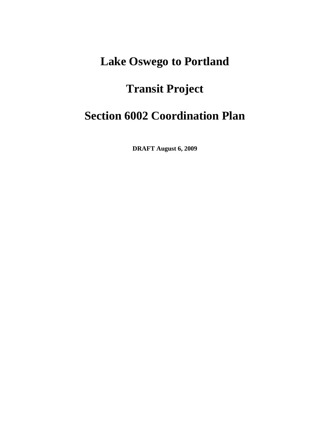# **Lake Oswego to Portland**

# **Transit Project**

# **Section 6002 Coordination Plan**

**DRAFT August 6, 2009**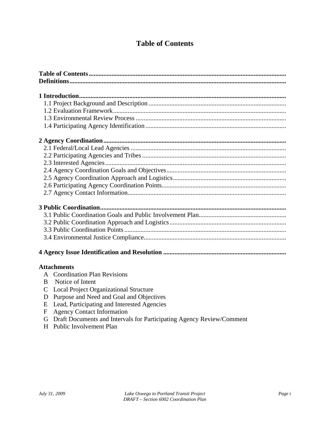# **Table of Contents**

|               | <b>Attachments</b>                                                                            |
|---------------|-----------------------------------------------------------------------------------------------|
|               | A Coordination Plan Revisions                                                                 |
| B             | Notice of Intent                                                                              |
| $\mathcal{C}$ | <b>Local Project Organizational Structure</b>                                                 |
| D             | Purpose and Need and Goal and Objectives                                                      |
|               | $\mathbf{I} = \mathbf{I} \cdot \mathbf{D} \cdot \mathbf{A} \cdot \mathbf{A} \cdot \mathbf{A}$ |

- E Lead, Participating and Interested Agencies
- F Agency Contact Information
- G Draft Documents and Intervals for Participating Agency Review/Comment
- H Public Involvement Plan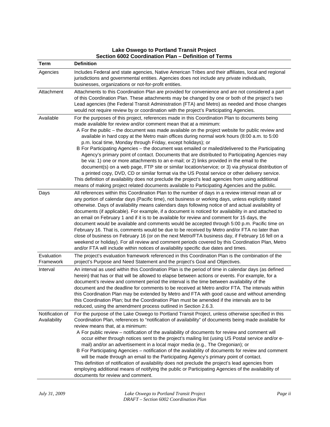| <b>Term</b>                     | <b>Definition</b>                                                                                                                                                                                                                                                                                                                                                                                                                                                                                                                                                                                                                                                                                                                                                                                                                                                                                                                                                                                                                                                                                                                                          |
|---------------------------------|------------------------------------------------------------------------------------------------------------------------------------------------------------------------------------------------------------------------------------------------------------------------------------------------------------------------------------------------------------------------------------------------------------------------------------------------------------------------------------------------------------------------------------------------------------------------------------------------------------------------------------------------------------------------------------------------------------------------------------------------------------------------------------------------------------------------------------------------------------------------------------------------------------------------------------------------------------------------------------------------------------------------------------------------------------------------------------------------------------------------------------------------------------|
| Agencies                        | Includes Federal and state agencies, Native American Tribes and their affiliates, local and regional<br>jurisdictions and governmental entities. Agencies does not include any private individuals,<br>businesses, organizations or not-for-profit entities.                                                                                                                                                                                                                                                                                                                                                                                                                                                                                                                                                                                                                                                                                                                                                                                                                                                                                               |
| Attachment                      | Attachments to this Coordination Plan are provided for convenience and are not considered a part<br>of this Coordination Plan. These attachments may be changed by one or both of the project's two<br>Lead agencies (the Federal Transit Administration (FTA) and Metro) as needed and those changes<br>would not require review by or coordination with the project's Participating Agencies.                                                                                                                                                                                                                                                                                                                                                                                                                                                                                                                                                                                                                                                                                                                                                            |
| Available                       | For the purposes of this project, references made in this Coordination Plan to documents being<br>made available for review and/or comment mean that at a minimum:<br>A For the public – the document was made available on the project website for public review and<br>available in hard copy at the Metro main offices during normal work hours (8:00 a.m. to 5:00<br>p.m. local time, Monday through Friday, except holidays); or<br>B For Participating Agencies - the document was emailed or mailed/delivered to the Participating<br>Agency's primary point of contact. Documents that are distributed to Participating Agencies may<br>be via: 1) one or more attachments to an e-mail; or 2) links provided in the email to the<br>document(s) on a web page, FTP site or similar location/service; or 3) via physical distribution of<br>a printed copy, DVD, CD or similar format via the US Postal service or other delivery service.<br>This definition of availability does not preclude the project's lead agencies from using additional<br>means of making project related documents available to Participating Agencies and the public. |
| Days                            | All references within this Coordination Plan to the number of days in a review interval mean all or<br>any portion of calendar days (Pacific time), not business or working days, unless explicitly stated<br>otherwise. Days of availability means calendars days following notice of and actual availability of<br>documents (if applicable). For example, if a document is noticed for availability in and attached to<br>an email on February 1 and if it is to be available for review and comment for 15 days, the<br>document would be available and comments would be accepted through 5:00 p.m. Pacific time on<br>February 16. That is, comments would be due to be received by Metro and/or FTA no later than<br>close of business on February 16 (or on the next Metro/FTA business day, if February 16 fell on a<br>weekend or holiday). For all review and comment periods covered by this Coordination Plan, Metro<br>and/or FTA will include within notices of availability specific due dates and times.                                                                                                                                  |
| Evaluation<br>Framework         | The project's evaluation framework referenced in this Coordination Plan is the combination of the<br>project's Purpose and Need Statement and the project's Goal and Objectives.                                                                                                                                                                                                                                                                                                                                                                                                                                                                                                                                                                                                                                                                                                                                                                                                                                                                                                                                                                           |
| Interval                        | An interval as used within this Coordination Plan is the period of time in calendar days (as defined<br>herein) that has or that will be allowed to elapse between actions or events. For example, for a<br>document's review and comment period the interval is the time between availability of the<br>document and the deadline for comments to be received at Metro and/or FTA. The intervals within<br>this Coordination Plan may be extended by Metro and FTA with good cause and without amending<br>this Coordination Plan; but the Coordination Plan must be amended if the intervals are to be<br>reduced, using the amendment process outlined in Section 2.6.3.                                                                                                                                                                                                                                                                                                                                                                                                                                                                                |
| Notification of<br>Availability | For the purpose of the Lake Oswego to Portland Transit Project, unless otherwise specified in this<br>Coordination Plan, references to "notification of availability" of documents being made available for<br>review means that, at a minimum:<br>A For public review – notification of the availability of documents for review and comment will<br>occur either through notices sent to the project's mailing list (using US Postal service and/or e-<br>mail) and/or an advertisement in a local major media (e.g., The Oregonian); or<br>B For Participating Agencies - notification of the availability of documents for review and comment<br>will be made through an email to the Participating Agency's primary point of contact.<br>This definition of notification of availability does not preclude the project's lead agencies from<br>employing additional means of notifying the public or Participating Agencies of the availability of<br>documents for review and comment.                                                                                                                                                               |

#### **Lake Oswego to Portland Transit Project Section 6002 Coordination Plan – Definition of Terms**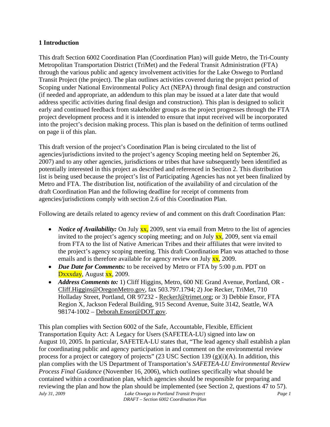#### **1 Introduction**

This draft Section 6002 Coordination Plan (Coordination Plan) will guide Metro, the Tri-County Metropolitan Transportation District (TriMet) and the Federal Transit Administration (FTA) through the various public and agency involvement activities for the Lake Oswego to Portland Transit Project (the project). The plan outlines activities covered during the project period of Scoping under National Environmental Policy Act (NEPA) through final design and construction (if needed and appropriate, an addendum to this plan may be issued at a later date that would address specific activities during final design and construction). This plan is designed to solicit early and continued feedback from stakeholder groups as the project progresses through the FTA project development process and it is intended to ensure that input received will be incorporated into the project's decision making process. This plan is based on the definition of terms outlined on page ii of this plan.

This draft version of the project's Coordination Plan is being circulated to the list of agencies/jurisdictions invited to the project's agency Scoping meeting held on September 26, 2007) and to any other agencies, jurisdictions or tribes that have subsequently been identified as potentially interested in this project as described and referenced in Section 2. This distribution list is being used because the project's list of Participating Agencies has not yet been finalized by Metro and FTA. The distribution list, notification of the availability of and circulation of the draft Coordination Plan and the following deadline for receipt of comments from agencies/jurisdictions comply with section 2.6 of this Coordination Plan.

Following are details related to agency review of and comment on this draft Coordination Plan:

- *Notice of Availability:* On July **xx**, 2009, sent via email from Metro to the list of agencies invited to the project's agency scoping meeting; and on July  $\frac{xx}{x}$ , 2009, sent via email from FTA to the list of Native American Tribes and their affiliates that were invited to the project's agency scoping meeting. This draft Coordination Plan was attached to those emails and is therefore available for agency review on July  $\frac{xx}{xx}$ , 2009.
- *Due Date for Comments:* to be received by Metro or FTA by 5:00 p.m. PDT on Dxxxday, August xx, 2009.
- *Address Comments to:* 1) Cliff Higgins, Metro, 600 NE Grand Avenue, Portland, OR Cliff.Higgins@OregonMetro.gov, fax 503.797.1794; 2) Joe Recker, TriMet, 710 Holladay Street, Portland, OR 97232 - ReckerJ@trimet.org; or 3) Debbie Ensor, FTA Region X, Jackson Federal Building, 915 Second Avenue, Suite 3142, Seattle, WA 98174-1002 – Deborah.Ensor@DOT.gov.

*July 31, 2009 Lake Oswego to Portland Transit Project Page 1* This plan complies with Section 6002 of the Safe, Accountable, Flexible, Efficient Transportation Equity Act: A Legacy for Users (SAFETEA-LU) signed into law on August 10, 2005. In particular, SAFETEA-LU states that, "The lead agency shall establish a plan for coordinating public and agency participation in and comment on the environmental review process for a project or category of projects" (23 USC Section 139  $(g)(i)(A)$ . In addition, this plan complies with the US Department of Transportation's *SAFETEA-LU Environmental Review Process Final Guidance* (November 16, 2006), which outlines specifically what should be contained within a coordination plan, which agencies should be responsible for preparing and reviewing the plan and how the plan should be implemented (see Section 2, questions 47 to 57).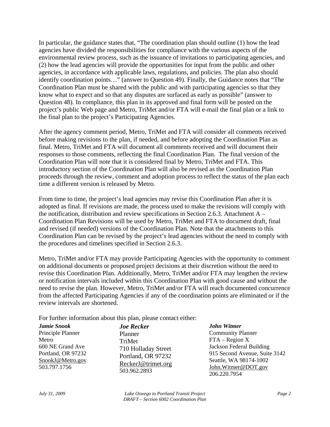In particular, the guidance states that, "The coordination plan should outline (1) how the lead agencies have divided the responsibilities for compliance with the various aspects of the environmental review process, such as the issuance of invitations to participating agencies, and (2) how the lead agencies will provide the opportunities for input from the public and other agencies, in accordance with applicable laws, regulations, and policies. The plan also should identify coordination points…" (answer to Question 49). Finally, the Guidance notes that "The Coordination Plan must be shared with the public and with participating agencies so that they know what to expect and so that any disputes are surfaced as early as possible" (answer to Question 48). In compliance, this plan in its approved and final form will be posted on the project's public Web page and Metro, TriMet and/or FTA will e-mail the final plan or a link to the final plan to the project's Participating Agencies.

After the agency comment period, Metro, TriMet and FTA will consider all comments received before making revisions to the plan, if needed, and before adopting the Coordination Plan as final. Metro, TriMet and FTA will document all comments received and will document their responses to those comments, reflecting the final Coordination Plan. The final version of the Coordination Plan will note that it is considered final by Metro, TriMet and FTA. This introductory section of the Coordination Plan will also be revised as the Coordination Plan proceeds through the review, comment and adoption process to reflect the status of the plan each time a different version is released by Metro.

From time to time, the project's lead agencies may revise this Coordination Plan after it is adopted as final. If revisions are made, the process used to make the revisions will comply with the notification, distribution and review specifications in Section 2.6.3. Attachment A – Coordination Plan Revisions will be used by Metro, TriMet and FTA to document draft, final and revised (if needed) versions of the Coordination Plan. Note that the attachments to this Coordination Plan can be revised by the project's lead agencies without the need to comply with the procedures and timelines specified in Section 2.6.3.

Metro, TriMet and/or FTA may provide Participating Agencies with the opportunity to comment on additional documents or proposed project decisions at their discretion without the need to revise this Coordination Plan. Additionally, Metro, TriMet and/or FTA may lengthen the review or notification intervals included within this Coordination Plan with good cause and without the need to revise the plan. However, Metro, TriMet and/or FTA will reach documented concurrence from the affected Participating Agencies if any of the coordination points are eliminated or if the review intervals are shortened.

For further information about this plan, please contact either:

| <b>Jamie Snook</b> | <b>Joe Recker</b>   | John Witmer                   |
|--------------------|---------------------|-------------------------------|
| Principle Planner  | Planner             | <b>Community Planner</b>      |
| Metro              | TriMet              | $FTA - Region X$              |
| 600 NE Grand Ave   | 710 Holladay Street | Jackson Federal Building      |
| Portland, OR 97232 | Portland, OR 97232  | 915 Second Avenue, Suite 3142 |
| SnookJ@Metro.gov   |                     | Seattle, WA 98174-1002        |
| 503.797.1756       | ReckerJ@trimet.org  | John.Witmer@DOT.gov           |
|                    | 503.962.2893        | 206.220.7954                  |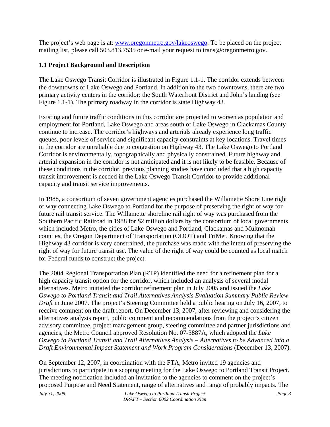The project's web page is at: www.oregonmetro.gov/lakeoswego. To be placed on the project mailing list, please call 503.813.7535 or e-mail your request to trans@oregonmetro.gov.

#### **1.1 Project Background and Description**

The Lake Oswego Transit Corridor is illustrated in Figure 1.1-1. The corridor extends between the downtowns of Lake Oswego and Portland. In addition to the two downtowns, there are two primary activity centers in the corridor: the South Waterfront District and John's landing (see Figure 1.1-1). The primary roadway in the corridor is state Highway 43.

Existing and future traffic conditions in this corridor are projected to worsen as population and employment for Portland, Lake Oswego and areas south of Lake Oswego in Clackamas County continue to increase. The corridor's highways and arterials already experience long traffic queues, poor levels of service and significant capacity constraints at key locations. Travel times in the corridor are unreliable due to congestion on Highway 43. The Lake Oswego to Portland Corridor is environmentally, topographically and physically constrained. Future highway and arterial expansion in the corridor is not anticipated and it is not likely to be feasible. Because of these conditions in the corridor, previous planning studies have concluded that a high capacity transit improvement is needed in the Lake Oswego Transit Corridor to provide additional capacity and transit service improvements.

In 1988, a consortium of seven government agencies purchased the Willamette Shore Line right of way connecting Lake Oswego to Portland for the purpose of preserving the right of way for future rail transit service. The Willamette shoreline rail right of way was purchased from the Southern Pacific Railroad in 1988 for \$2 million dollars by the consortium of local governments which included Metro, the cities of Lake Oswego and Portland, Clackamas and Multnomah counties, the Oregon Department of Transportation (ODOT) and TriMet. Knowing that the Highway 43 corridor is very constrained, the purchase was made with the intent of preserving the right of way for future transit use. The value of the right of way could be counted as local match for Federal funds to construct the project.

The 2004 Regional Transportation Plan (RTP) identified the need for a refinement plan for a high capacity transit option for the corridor, which included an analysis of several modal alternatives. Metro initiated the corridor refinement plan in July 2005 and issued the *Lake Oswego to Portland Transit and Trail Alternatives Analysis Evaluation Summary Public Review Draft* in June 2007. The project's Steering Committee held a public hearing on July 16, 2007, to receive comment on the draft report. On December 13, 2007, after reviewing and considering the alternatives analysis report, public comment and recommendations from the project's citizen advisory committee, project management group, steering committee and partner jurisdictions and agencies, the Metro Council approved Resolution No. 07-3887A, which adopted the *Lake Oswego to Portland Transit and Trail Alternatives Analysis – Alternatives to be Advanced into a Draft Environmental Impact Statement and Work Program Considerations* (December 13, 2007).

On September 12, 2007, in coordination with the FTA, Metro invited 19 agencies and jurisdictions to participate in a scoping meeting for the Lake Oswego to Portland Transit Project. The meeting notification included an invitation to the agencies to comment on the project's proposed Purpose and Need Statement, range of alternatives and range of probably impacts. The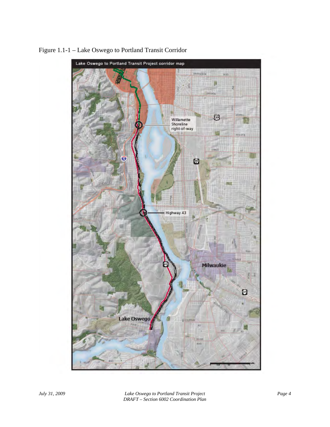

Figure 1.1-1 – Lake Oswego to Portland Transit Corridor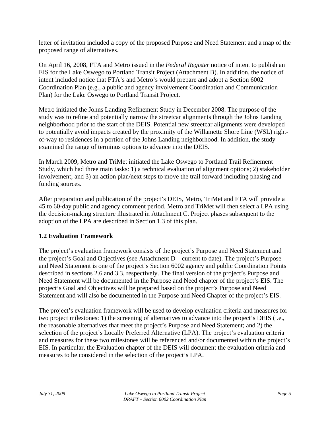letter of invitation included a copy of the proposed Purpose and Need Statement and a map of the proposed range of alternatives.

On April 16, 2008, FTA and Metro issued in the *Federal Register* notice of intent to publish an EIS for the Lake Oswego to Portland Transit Project (Attachment B). In addition, the notice of intent included notice that FTA's and Metro's would prepare and adopt a Section 6002 Coordination Plan (e.g., a public and agency involvement Coordination and Communication Plan) for the Lake Oswego to Portland Transit Project.

Metro initiated the Johns Landing Refinement Study in December 2008. The purpose of the study was to refine and potentially narrow the streetcar alignments through the Johns Landing neighborhood prior to the start of the DEIS. Potential new streetcar alignments were developed to potentially avoid impacts created by the proximity of the Willamette Shore Line (WSL) rightof-way to residences in a portion of the Johns Landing neighborhood. In addition, the study examined the range of terminus options to advance into the DEIS.

In March 2009, Metro and TriMet initiated the Lake Oswego to Portland Trail Refinement Study, which had three main tasks: 1) a technical evaluation of alignment options; 2) stakeholder involvement; and 3) an action plan/next steps to move the trail forward including phasing and funding sources.

After preparation and publication of the project's DEIS, Metro, TriMet and FTA will provide a 45 to 60-day public and agency comment period. Metro and TriMet will then select a LPA using the decision-making structure illustrated in Attachment C. Project phases subsequent to the adoption of the LPA are described in Section 1.3 of this plan.

#### **1.2 Evaluation Framework**

The project's evaluation framework consists of the project's Purpose and Need Statement and the project's Goal and Objectives (see Attachment D – current to date). The project's Purpose and Need Statement is one of the project's Section 6002 agency and public Coordination Points described in sections 2.6 and 3.3, respectively. The final version of the project's Purpose and Need Statement will be documented in the Purpose and Need chapter of the project's EIS. The project's Goal and Objectives will be prepared based on the project's Purpose and Need Statement and will also be documented in the Purpose and Need Chapter of the project's EIS.

The project's evaluation framework will be used to develop evaluation criteria and measures for two project milestones: 1) the screening of alternatives to advance into the project's DEIS (i.e., the reasonable alternatives that meet the project's Purpose and Need Statement; and 2) the selection of the project's Locally Preferred Alternative (LPA). The project's evaluation criteria and measures for these two milestones will be referenced and/or documented within the project's EIS. In particular, the Evaluation chapter of the DEIS will document the evaluation criteria and measures to be considered in the selection of the project's LPA.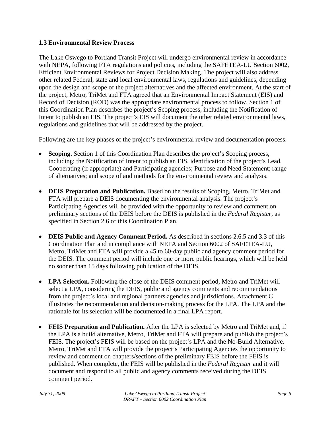#### **1.3 Environmental Review Process**

The Lake Oswego to Portland Transit Project will undergo environmental review in accordance with NEPA, following FTA regulations and policies, including the SAFETEA-LU Section 6002, Efficient Environmental Reviews for Project Decision Making*.* The project will also address other related Federal, state and local environmental laws, regulations and guidelines, depending upon the design and scope of the project alternatives and the affected environment. At the start of the project, Metro, TriMet and FTA agreed that an Environmental Impact Statement (EIS) and Record of Decision (ROD) was the appropriate environmental process to follow. Section 1 of this Coordination Plan describes the project's Scoping process, including the Notification of Intent to publish an EIS. The project's EIS will document the other related environmental laws, regulations and guidelines that will be addressed by the project.

Following are the key phases of the project's environmental review and documentation process.

- **Scoping.** Section 1 of this Coordination Plan describes the project's Scoping process, including: the Notification of Intent to publish an EIS, identification of the project's Lead, Cooperating (if appropriate) and Participating agencies; Purpose and Need Statement; range of alternatives; and scope of and methods for the environmental review and analysis.
- **DEIS Preparation and Publication.** Based on the results of Scoping, Metro, TriMet and FTA will prepare a DEIS documenting the environmental analysis. The project's Participating Agencies will be provided with the opportunity to review and comment on preliminary sections of the DEIS before the DEIS is published in the *Federal Register*, as specified in Section 2.6 of this Coordination Plan.
- **DEIS Public and Agency Comment Period.** As described in sections 2.6.5 and 3.3 of this Coordination Plan and in compliance with NEPA and Section 6002 of SAFETEA-LU, Metro, TriMet and FTA will provide a 45 to 60-day public and agency comment period for the DEIS. The comment period will include one or more public hearings, which will be held no sooner than 15 days following publication of the DEIS.
- **LPA Selection.** Following the close of the DEIS comment period, Metro and TriMet will select a LPA, considering the DEIS, public and agency comments and recommendations from the project's local and regional partners agencies and jurisdictions. Attachment C illustrates the recommendation and decision-making process for the LPA. The LPA and the rationale for its selection will be documented in a final LPA report.
- **FEIS Preparation and Publication.** After the LPA is selected by Metro and TriMet and, if the LPA is a build alternative, Metro, TriMet and FTA will prepare and publish the project's FEIS. The project's FEIS will be based on the project's LPA and the No-Build Alternative. Metro, TriMet and FTA will provide the project's Participating Agencies the opportunity to review and comment on chapters/sections of the preliminary FEIS before the FEIS is published. When complete, the FEIS will be published in the *Federal Register* and it will document and respond to all public and agency comments received during the DEIS comment period.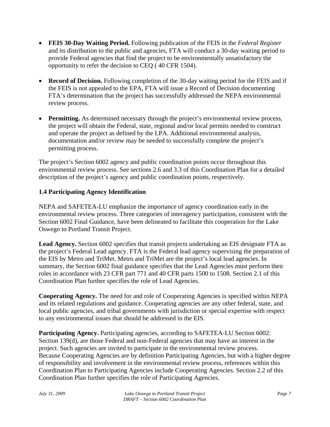- **FEIS 30-Day Waiting Period.** Following publication of the FEIS in the *Federal Register*  and its distribution to the public and agencies, FTA will conduct a 30-day waiting period to provide Federal agencies that find the project to be environmentally unsatisfactory the opportunity to refer the decision to CEQ ( 40 CFR 1504).
- **Record of Decision.** Following completion of the 30-day waiting period for the FEIS and if the FEIS is not appealed to the EPA, FTA will issue a Record of Decision documenting FTA's determination that the project has successfully addressed the NEPA environmental review process.
- **Permitting.** As determined necessary through the project's environmental review process, the project will obtain the Federal, state, regional and/or local permits needed to construct and operate the project as defined by the LPA. Additional environmental analysis, documentation and/or review may be needed to successfully complete the project's permitting process.

The project's Section 6002 agency and public coordination points occur throughout this environmental review process. See sections 2.6 and 3.3 of this Coordination Plan for a detailed description of the project's agency and public coordination points, respectively.

#### **1.4 Participating Agency Identification**

NEPA and SAFETEA-LU emphasize the importance of agency coordination early in the environmental review process. Three categories of interagency participation, consistent with the Section 6002 Final Guidance, have been delineated to facilitate this cooperation for the Lake Oswego to Portland Transit Project.

**Lead Agency.** Section 6002 specifies that transit projects undertaking an EIS designate FTA as the project's Federal Lead agency. FTA is the Federal lead agency supervising the preparation of the EIS by Metro and TriMet. Metro and TriMet are the project's local lead agencies. In summary, the Section 6002 final guidance specifies that the Lead Agencies must perform their roles in accordance with 23 CFR part 771 and 40 CFR parts 1500 to 1508. Section 2.1 of this Coordination Plan further specifies the role of Lead Agencies.

**Cooperating Agency.** The need for and role of Cooperating Agencies is specified within NEPA and its related regulations and guidance. Cooperating agencies are any other federal, state, and local public agencies, and tribal governments with jurisdiction or special expertise with respect to any environmental issues that should be addressed in the EIS.

**Participating Agency.** Participating agencies, according to SAFETEA-LU Section 6002: Section 139(d), are those Federal and non-Federal agencies that may have an interest in the project. Such agencies are invited to participate in the environmental review process. Because Cooperating Agencies are by definition Participating Agencies, but with a higher degree of responsibility and involvement in the environmental review process, references within this Coordination Plan to Participating Agencies include Cooperating Agencies. Section 2.2 of this Coordination Plan further specifies the role of Participating Agencies.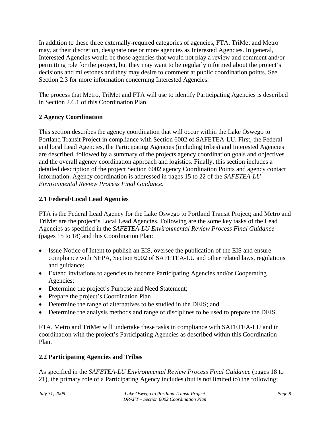In addition to these three externally-required categories of agencies, FTA, TriMet and Metro may, at their discretion, designate one or more agencies as Interested Agencies. In general, Interested Agencies would be those agencies that would not play a review and comment and/or permitting role for the project, but they may want to be regularly informed about the project's decisions and milestones and they may desire to comment at public coordination points. See Section 2.3 for more information concerning Interested Agencies.

The process that Metro, TriMet and FTA will use to identify Participating Agencies is described in Section 2.6.1 of this Coordination Plan.

### **2 Agency Coordination**

This section describes the agency coordination that will occur within the Lake Oswego to Portland Transit Project in compliance with Section 6002 of SAFETEA-LU. First, the Federal and local Lead Agencies, the Participating Agencies (including tribes) and Interested Agencies are described, followed by a summary of the projects agency coordination goals and objectives and the overall agency coordination approach and logistics. Finally, this section includes a detailed description of the project Section 6002 agency Coordination Points and agency contact information. Agency coordination is addressed in pages 15 to 22 of the *SAFETEA-LU Environmental Review Process Final Guidance*.

### **2.1 Federal/Local Lead Agencies**

FTA is the Federal Lead Agency for the Lake Oswego to Portland Transit Project; and Metro and TriMet are the project's Local Lead Agencies. Following are the some key tasks of the Lead Agencies as specified in the *SAFETEA-LU Environmental Review Process Final Guidance*  (pages 15 to 18) and this Coordination Plan:

- Issue Notice of Intent to publish an EIS, oversee the publication of the EIS and ensure compliance with NEPA, Section 6002 of SAFETEA-LU and other related laws, regulations and guidance;
- Extend invitations to agencies to become Participating Agencies and/or Cooperating Agencies;
- Determine the project's Purpose and Need Statement;
- Prepare the project's Coordination Plan
- Determine the range of alternatives to be studied in the DEIS; and
- Determine the analysis methods and range of disciplines to be used to prepare the DEIS.

FTA, Metro and TriMet will undertake these tasks in compliance with SAFETEA-LU and in coordination with the project's Participating Agencies as described within this Coordination Plan.

## **2.2 Participating Agencies and Tribes**

As specified in the *SAFETEA-LU Environmental Review Process Final Guidance* (pages 18 to 21), the primary role of a Participating Agency includes (but is not limited to) the following: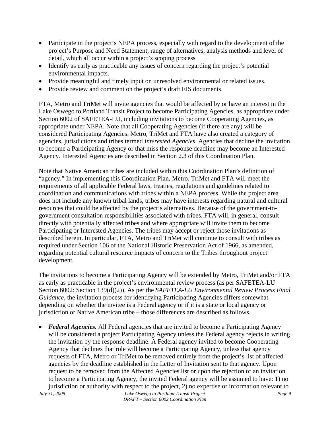- Participate in the project's NEPA process, especially with regard to the development of the project's Purpose and Need Statement, range of alternatives, analysis methods and level of detail, which all occur within a project's scoping process
- Identify as early as practicable any issues of concern regarding the project's potential environmental impacts.
- Provide meaningful and timely input on unresolved environmental or related issues.
- Provide review and comment on the project's draft EIS documents.

FTA, Metro and TriMet will invite agencies that would be affected by or have an interest in the Lake Oswego to Portland Transit Project to become Participating Agencies, as appropriate under Section 6002 of SAFETEA-LU, including invitations to become Cooperating Agencies, as appropriate under NEPA. Note that all Cooperating Agencies (if there are any) will be considered Participating Agencies. Metro, TriMet and FTA have also created a category of agencies, jurisdictions and tribes termed *Interested Agencies*. Agencies that decline the invitation to become a Participating Agency or that miss the response deadline may become an Interested Agency. Interested Agencies are described in Section 2.3 of this Coordination Plan.

Note that Native American tribes are included within this Coordination Plan's definition of "agency." In implementing this Coordination Plan, Metro, TriMet and FTA will meet the requirements of all applicable Federal laws, treaties, regulations and guidelines related to coordination and communications with tribes within a NEPA process. While the project area does not include any known tribal lands, tribes may have interests regarding natural and cultural resources that could be affected by the project's alternatives. Because of the government-togovernment consultation responsibilities associated with tribes, FTA will, in general, consult directly with potentially affected tribes and where appropriate will invite them to become Participating or Interested Agencies. The tribes may accept or reject those invitations as described herein. In particular, FTA, Metro and TriMet will continue to consult with tribes as required under Section 106 of the National Historic Preservation Act of 1966, as amended, regarding potential cultural resource impacts of concern to the Tribes throughout project development.

The invitations to become a Participating Agency will be extended by Metro, TriMet and/or FTA as early as practicable in the project's environmental review process (as per SAFETEA-LU Section 6002: Section 139(d)(2)). As per the *SAFETEA-LU Environmental Review Process Final Guidance*, the invitation process for identifying Participating Agencies differs somewhat depending on whether the invitee is a Federal agency or if it is a state or local agency or jurisdiction or Native American tribe – those differences are described as follows.

• *Federal Agencies.* All Federal agencies that are invited to become a Participating Agency will be considered a project Participating Agency unless the Federal agency rejects in writing the invitation by the response deadline. A Federal agency invited to become Cooperating Agency that declines that role will become a Participating Agency, unless that agency requests of FTA, Metro or TriMet to be removed entirely from the project's list of affected agencies by the deadline established in the Letter of Invitation sent to that agency. Upon request to be removed from the Affected Agencies list or upon the rejection of an invitation to become a Participating Agency, the invited Federal agency will be assumed to have: 1) no jurisdiction or authority with respect to the project, 2) no expertise or information relevant to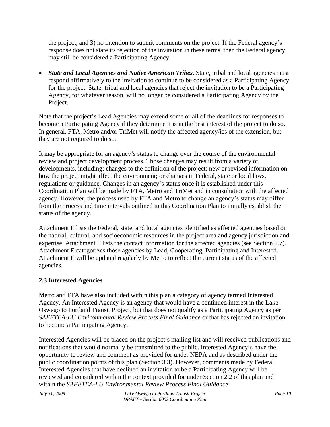the project, and 3) no intention to submit comments on the project. If the Federal agency's response does not state its rejection of the invitation in these terms, then the Federal agency may still be considered a Participating Agency.

• *State and Local Agencies and Native American Tribes.* State, tribal and local agencies must respond affirmatively to the invitation to continue to be considered as a Participating Agency for the project. State, tribal and local agencies that reject the invitation to be a Participating Agency, for whatever reason, will no longer be considered a Participating Agency by the Project.

Note that the project's Lead Agencies may extend some or all of the deadlines for responses to become a Participating Agency if they determine it is in the best interest of the project to do so. In general, FTA, Metro and/or TriMet will notify the affected agency/ies of the extension, but they are not required to do so.

It may be appropriate for an agency's status to change over the course of the environmental review and project development process. Those changes may result from a variety of developments, including: changes to the definition of the project; new or revised information on how the project might affect the environment; or changes in Federal, state or local laws, regulations or guidance. Changes in an agency's status once it is established under this Coordination Plan will be made by FTA, Metro and TriMet and in consultation with the affected agency. However, the process used by FTA and Metro to change an agency's status may differ from the process and time intervals outlined in this Coordination Plan to initially establish the status of the agency.

Attachment E lists the Federal, state, and local agencies identified as affected agencies based on the natural, cultural, and socioeconomic resources in the project area and agency jurisdiction and expertise. Attachment F lists the contact information for the affected agencies (see Section 2.7). Attachment E categorizes those agencies by Lead, Cooperating, Participating and Interested. Attachment E will be updated regularly by Metro to reflect the current status of the affected agencies.

### **2.3 Interested Agencies**

Metro and FTA have also included within this plan a category of agency termed Interested Agency. An Interested Agency is an agency that would have a continued interest in the Lake Oswego to Portland Transit Project, but that does not qualify as a Participating Agency as per *SAFETEA-LU Environmental Review Process Final Guidance* or that has rejected an invitation to become a Participating Agency.

Interested Agencies will be placed on the project's mailing list and will received publications and notifications that would normally be transmitted to the public. Interested Agency's have the opportunity to review and comment as provided for under NEPA and as described under the public coordination points of this plan (Section 3.3). However, comments made by Federal Interested Agencies that have declined an invitation to be a Participating Agency will be reviewed and considered within the context provided for under Section 2.2 of this plan and within the *SAFETEA-LU Environmental Review Process Final Guidance*.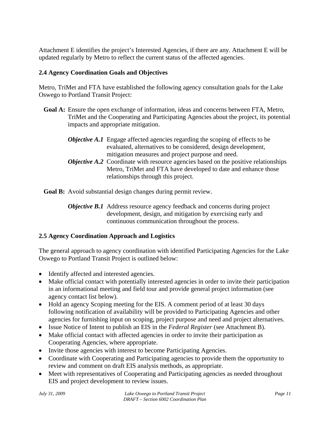Attachment E identifies the project's Interested Agencies, if there are any. Attachment E will be updated regularly by Metro to reflect the current status of the affected agencies.

#### **2.4 Agency Coordination Goals and Objectives**

Metro, TriMet and FTA have established the following agency consultation goals for the Lake Oswego to Portland Transit Project:

**Goal A:** Ensure the open exchange of information, ideas and concerns between FTA, Metro, TriMet and the Cooperating and Participating Agencies about the project, its potential impacts and appropriate mitigation.

| <b>Objective A.1</b> Engage affected agencies regarding the scoping of effects to be       |
|--------------------------------------------------------------------------------------------|
| evaluated, alternatives to be considered, design development,                              |
| mitigation measures and project purpose and need.                                          |
| <b>Objective A.2</b> Coordinate with resource agencies based on the positive relationships |
| Metro, TriMet and FTA have developed to date and enhance those                             |

**Goal B:** Avoid substantial design changes during permit review.

relationships through this project.

*Objective B.1* Address resource agency feedback and concerns during project development, design, and mitigation by exercising early and continuous communication throughout the process.

### **2.5 Agency Coordination Approach and Logistics**

The general approach to agency coordination with identified Participating Agencies for the Lake Oswego to Portland Transit Project is outlined below:

- Identify affected and interested agencies.
- Make official contact with potentially interested agencies in order to invite their participation in an informational meeting and field tour and provide general project information (see agency contact list below).
- Hold an agency Scoping meeting for the EIS. A comment period of at least 30 days following notification of availability will be provided to Participating Agencies and other agencies for furnishing input on scoping, project purpose and need and project alternatives.
- Issue Notice of Intent to publish an EIS in the *Federal Register* (see Attachment B).
- Make official contact with affected agencies in order to invite their participation as Cooperating Agencies, where appropriate.
- Invite those agencies with interest to become Participating Agencies.
- Coordinate with Cooperating and Participating agencies to provide them the opportunity to review and comment on draft EIS analysis methods, as appropriate.
- Meet with representatives of Cooperating and Participating agencies as needed throughout EIS and project development to review issues.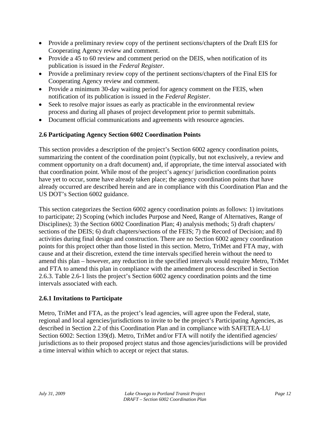- Provide a preliminary review copy of the pertinent sections/chapters of the Draft EIS for Cooperating Agency review and comment.
- Provide a 45 to 60 review and comment period on the DEIS, when notification of its publication is issued in the *Federal Register*.
- Provide a preliminary review copy of the pertinent sections/chapters of the Final EIS for Cooperating Agency review and comment.
- Provide a minimum 30-day waiting period for agency comment on the FEIS, when notification of its publication is issued in the *Federal Register*.
- Seek to resolve major issues as early as practicable in the environmental review process and during all phases of project development prior to permit submittals.
- Document official communications and agreements with resource agencies.

### **2.6 Participating Agency Section 6002 Coordination Points**

This section provides a description of the project's Section 6002 agency coordination points, summarizing the content of the coordination point (typically, but not exclusively, a review and comment opportunity on a draft document) and, if appropriate, the time interval associated with that coordination point. While most of the project's agency/ jurisdiction coordination points have yet to occur, some have already taken place; the agency coordination points that have already occurred are described herein and are in compliance with this Coordination Plan and the US DOT's Section 6002 guidance.

This section categorizes the Section 6002 agency coordination points as follows: 1) invitations to participate; 2) Scoping (which includes Purpose and Need, Range of Alternatives, Range of Disciplines); 3) the Section 6002 Coordination Plan; 4) analysis methods; 5) draft chapters/ sections of the DEIS; 6) draft chapters/sections of the FEIS; 7) the Record of Decision; and 8) activities during final design and construction. There are no Section 6002 agency coordination points for this project other than those listed in this section. Metro, TriMet and FTA may, with cause and at their discretion, extend the time intervals specified herein without the need to amend this plan – however, any reduction in the specified intervals would require Metro, TriMet and FTA to amend this plan in compliance with the amendment process described in Section 2.6.3. Table 2.6-1 lists the project's Section 6002 agency coordination points and the time intervals associated with each.

#### **2.6.1 Invitations to Participate**

Metro, TriMet and FTA, as the project's lead agencies, will agree upon the Federal, state, regional and local agencies/jurisdictions to invite to be the project's Participating Agencies, as described in Section 2.2 of this Coordination Plan and in compliance with SAFETEA-LU Section 6002: Section 139(d). Metro, TriMet and/or FTA will notify the identified agencies/ jurisdictions as to their proposed project status and those agencies/jurisdictions will be provided a time interval within which to accept or reject that status.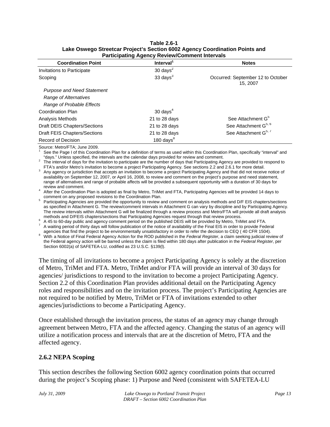| <b>Coordination Point</b>         | Interval <sup>1</sup> | <b>Notes</b>                                  |
|-----------------------------------|-----------------------|-----------------------------------------------|
| Invitations to Participate        | 30 days $^2$          |                                               |
| Scoping                           | 33 days $3$           | Occurred: September 12 to October<br>15, 2007 |
| <b>Purpose and Need Statement</b> |                       |                                               |
| Range of Alternatives             |                       |                                               |
| Range of Probable Effects         |                       |                                               |
| Coordination Plan                 | $30 \text{ days}^4$   |                                               |
| Analysis Methods                  | 21 to 28 days         | See Attachment G <sup>5</sup>                 |
| Draft DEIS Chapters/Sections      | 21 to 28 days         | See Attachment G <sup>5, 6</sup>              |
| Draft FEIS Chapters/Sections      | 21 to 28 days         | See Attachment G <sup>5, 7</sup>              |
| Record of Decision                | 180 days $8^8$        |                                               |

#### **Table 2.6-1 Lake Oswego Streetcar Project's Section 6002 Agency Coordination Points and Participating Agency Review/Comment Intervals**

Source: Metro/FTA; June 2009.

1 See the Page I of this Coordination Plan for a definition of terms as used within this Coordination Plan, specifically "interval" and "days." Unless specified, the intervals are the calendar days provided for review and comment. 2

 The interval of days for the invitation to participate are the number of days that Participating Agency are provided to respond to FTA's and/or Metro's invitation to become a project Participating Agency. See sections 2.2 and 2.6.1 for more detail. 3

<sup>3</sup> Any agency or jurisdiction that accepts an invitation to become a project Participating Agency and that did not receive notice of availability on September 12, 2007, or April 16, 2008, to review and comment on the project's purpose and need statement, range of alternatives and range of probable affects will be provided a subsequent opportunity with a duration of 30 days for

review and comment. 4 After the Coordination Plan is adopted as final by Metro, TriMet and FTA, Participating Agencies will be provided 14 days to

comment on any proposed revisions to the Coordination Plan.<br>
<sup>5</sup> Participating Agencies are provided the opportunity to review and comment on analysis methods and D/F EIS chapters/sections as specified in Attachment G. The review/comment intervals in Attachment G can vary by discipline and by Participating Agency. The review intervals within Attachment G will be finalized through a review process and Metro/FTA will provide all draft analysis methods and D/FEIS chapters/sections that Participating Agencies request through that review process.

A 45 to 60-day public and agency comment period on the published DEIS will be provided by Metro, TriMet and FTA.

7 A waiting period of thirty days will follow publication of the notice of availability of the Final EIS in order to provide Federal agencies that find the project to be environmentally unsatisfactory in order to refer the d

With a Notice of Final Federal Agency Action for the ROD published in the Federal Register, a claim seeking judicial review of the Federal agency action will be barred unless the claim is filed within 180 days after publication in the *Federal Register*, per Section 6002(a) of SAFETEA-LU, codified as 23 U.S.C. §139(l).

The timing of all invitations to become a project Participating Agency is solely at the discretion of Metro, TriMet and FTA. Metro, TriMet and/or FTA will provide an interval of 30 days for agencies/ jurisdictions to respond to the invitation to become a project Participating Agency. Section 2.2 of this Coordination Plan provides additional detail on the Participating Agency roles and responsibilities and on the invitation process. The project's Participating Agencies are not required to be notified by Metro, TriMet or FTA of invitations extended to other agencies/jurisdictions to become a Participating Agency.

Once established through the invitation process, the status of an agency may change through agreement between Metro, FTA and the affected agency. Changing the status of an agency will utilize a notification process and intervals that are at the discretion of Metro, FTA and the affected agency.

### **2.6.2 NEPA Scoping**

This section describes the following Section 6002 agency coordination points that occurred during the project's Scoping phase: 1) Purpose and Need (consistent with SAFETEA-LU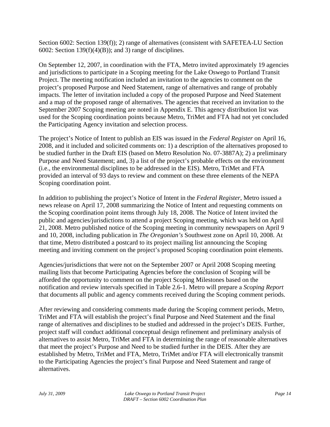Section 6002: Section 139(f)); 2) range of alternatives (consistent with SAFETEA-LU Section 6002: Section 139 $(f)(4)(B)$ ; and 3) range of disciplines.

On September 12, 2007, in coordination with the FTA, Metro invited approximately 19 agencies and jurisdictions to participate in a Scoping meeting for the Lake Oswego to Portland Transit Project. The meeting notification included an invitation to the agencies to comment on the project's proposed Purpose and Need Statement, range of alternatives and range of probably impacts. The letter of invitation included a copy of the proposed Purpose and Need Statement and a map of the proposed range of alternatives. The agencies that received an invitation to the September 2007 Scoping meeting are noted in Appendix E. This agency distribution list was used for the Scoping coordination points because Metro, TriMet and FTA had not yet concluded the Participating Agency invitation and selection process.

The project's Notice of Intent to publish an EIS was issued in the *Federal Register* on April 16, 2008, and it included and solicited comments on: 1) a description of the alternatives proposed to be studied further in the Draft EIS (based on Metro Resolution No. 07-3887A); 2) a preliminary Purpose and Need Statement; and, 3) a list of the project's probable effects on the environment (i.e., the environmental disciplines to be addressed in the EIS). Metro, TriMet and FTA provided an interval of 93 days to review and comment on these three elements of the NEPA Scoping coordination point.

In addition to publishing the project's Notice of Intent in the *Federal Register*, Metro issued a news release on April 17, 2008 summarizing the Notice of Intent and requesting comments on the Scoping coordination point items through July 18, 2008. The Notice of Intent invited the public and agencies/jurisdictions to attend a project Scoping meeting, which was held on April 21, 2008. Metro published notice of the Scoping meeting in community newspapers on April 9 and 10, 2008, including publication in *The Oregonian's* Southwest zone on April 10, 2008. At that time, Metro distributed a postcard to its project mailing list announcing the Scoping meeting and inviting comment on the project's proposed Scoping coordination point elements.

Agencies/jurisdictions that were not on the September 2007 or April 2008 Scoping meeting mailing lists that become Participating Agencies before the conclusion of Scoping will be afforded the opportunity to comment on the project Scoping Milestones based on the notification and review intervals specified in Table 2.6-1. Metro will prepare a *Scoping Report* that documents all public and agency comments received during the Scoping comment periods.

After reviewing and considering comments made during the Scoping comment periods, Metro, TriMet and FTA will establish the project's final Purpose and Need Statement and the final range of alternatives and disciplines to be studied and addressed in the project's DEIS. Further, project staff will conduct additional conceptual design refinement and preliminary analysis of alternatives to assist Metro, TriMet and FTA in determining the range of reasonable alternatives that meet the project's Purpose and Need to be studied further in the DEIS. After they are established by Metro, TriMet and FTA, Metro, TriMet and/or FTA will electronically transmit to the Participating Agencies the project's final Purpose and Need Statement and range of alternatives.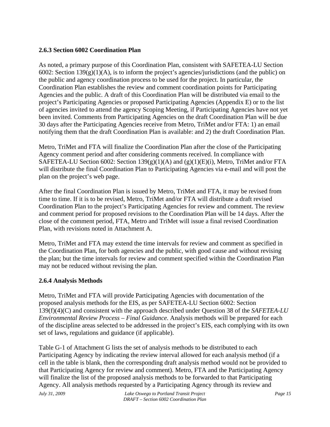#### **2.6.3 Section 6002 Coordination Plan**

As noted, a primary purpose of this Coordination Plan, consistent with SAFETEA-LU Section 6002: Section  $139(g)(1)(A)$ , is to inform the project's agencies/jurisdictions (and the public) on the public and agency coordination process to be used for the project. In particular, the Coordination Plan establishes the review and comment coordination points for Participating Agencies and the public. A draft of this Coordination Plan will be distributed via email to the project's Participating Agencies or proposed Participating Agencies (Appendix E) or to the list of agencies invited to attend the agency Scoping Meeting, if Participating Agencies have not yet been invited. Comments from Participating Agencies on the draft Coordination Plan will be due 30 days after the Participating Agencies receive from Metro, TriMet and/or FTA: 1) an email notifying them that the draft Coordination Plan is available: and 2) the draft Coordination Plan.

Metro, TriMet and FTA will finalize the Coordination Plan after the close of the Participating Agency comment period and after considering comments received. In compliance with SAFETEA-LU Section 6002: Section  $139(g)(1)(A)$  and  $(g)(1)(E)(i)$ , Metro, TriMet and/or FTA will distribute the final Coordination Plan to Participating Agencies via e-mail and will post the plan on the project's web page.

After the final Coordination Plan is issued by Metro, TriMet and FTA, it may be revised from time to time. If it is to be revised, Metro, TriMet and/or FTA will distribute a draft revised Coordination Plan to the project's Participating Agencies for review and comment. The review and comment period for proposed revisions to the Coordination Plan will be 14 days. After the close of the comment period, FTA, Metro and TriMet will issue a final revised Coordination Plan, with revisions noted in Attachment A.

Metro, TriMet and FTA may extend the time intervals for review and comment as specified in the Coordination Plan, for both agencies and the public, with good cause and without revising the plan; but the time intervals for review and comment specified within the Coordination Plan may not be reduced without revising the plan.

#### **2.6.4 Analysis Methods**

Metro, TriMet and FTA will provide Participating Agencies with documentation of the proposed analysis methods for the EIS, as per SAFETEA-LU Section 6002: Section 139(f)(4)(C) and consistent with the approach described under Question 38 of the *SAFETEA-LU Environmental Review Process – Final Guidance*. Analysis methods will be prepared for each of the discipline areas selected to be addressed in the project's EIS, each complying with its own set of laws, regulations and guidance (if applicable).

Table G-1 of Attachment G lists the set of analysis methods to be distributed to each Participating Agency by indicating the review interval allowed for each analysis method (if a cell in the table is blank, then the corresponding draft analysis method would not be provided to that Participating Agency for review and comment). Metro, FTA and the Participating Agency will finalize the list of the proposed analysis methods to be forwarded to that Participating Agency. All analysis methods requested by a Participating Agency through its review and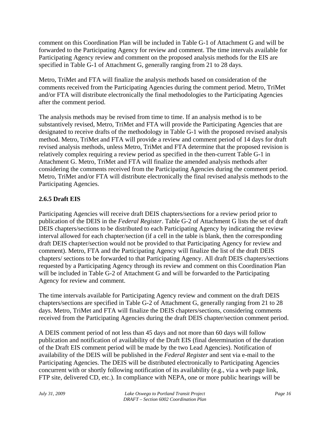comment on this Coordination Plan will be included in Table G-1 of Attachment G and will be forwarded to the Participating Agency for review and comment. The time intervals available for Participating Agency review and comment on the proposed analysis methods for the EIS are specified in Table G-1 of Attachment G, generally ranging from 21 to 28 days.

Metro, TriMet and FTA will finalize the analysis methods based on consideration of the comments received from the Participating Agencies during the comment period. Metro, TriMet and/or FTA will distribute electronically the final methodologies to the Participating Agencies after the comment period.

The analysis methods may be revised from time to time. If an analysis method is to be substantively revised, Metro, TriMet and FTA will provide the Participating Agencies that are designated to receive drafts of the methodology in Table G-1 with the proposed revised analysis method. Metro, TriMet and FTA will provide a review and comment period of 14 days for draft revised analysis methods, unless Metro, TriMet and FTA determine that the proposed revision is relatively complex requiring a review period as specified in the then-current Table G-1 in Attachment G. Metro, TriMet and FTA will finalize the amended analysis methods after considering the comments received from the Participating Agencies during the comment period. Metro, TriMet and/or FTA will distribute electronically the final revised analysis methods to the Participating Agencies.

### **2.6.5 Draft EIS**

Participating Agencies will receive draft DEIS chapters/sections for a review period prior to publication of the DEIS in the *Federal Register*. Table G-2 of Attachment G lists the set of draft DEIS chapters/sections to be distributed to each Participating Agency by indicating the review interval allowed for each chapter/section (if a cell in the table is blank, then the corresponding draft DEIS chapter/section would not be provided to that Participating Agency for review and comment). Metro, FTA and the Participating Agency will finalize the list of the draft DEIS chapters/ sections to be forwarded to that Participating Agency. All draft DEIS chapters/sections requested by a Participating Agency through its review and comment on this Coordination Plan will be included in Table G-2 of Attachment G and will be forwarded to the Participating Agency for review and comment.

The time intervals available for Participating Agency review and comment on the draft DEIS chapters/sections are specified in Table G-2 of Attachment G, generally ranging from 21 to 28 days. Metro, TriMet and FTA will finalize the DEIS chapters/sections, considering comments received from the Participating Agencies during the draft DEIS chapter/section comment period.

A DEIS comment period of not less than 45 days and not more than 60 days will follow publication and notification of availability of the Draft EIS (final determination of the duration of the Draft EIS comment period will be made by the two Lead Agencies). Notification of availability of the DEIS will be published in the *Federal Register* and sent via e-mail to the Participating Agencies. The DEIS will be distributed electronically to Participating Agencies concurrent with or shortly following notification of its availability (e.g., via a web page link, FTP site, delivered CD, etc.). In compliance with NEPA, one or more public hearings will be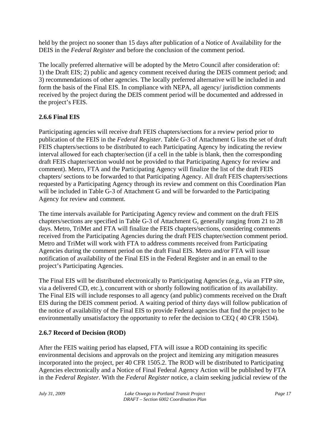held by the project no sooner than 15 days after publication of a Notice of Availability for the DEIS in the *Federal Register* and before the conclusion of the comment period.

The locally preferred alternative will be adopted by the Metro Council after consideration of: 1) the Draft EIS; 2) public and agency comment received during the DEIS comment period; and 3) recommendations of other agencies. The locally preferred alternative will be included in and form the basis of the Final EIS. In compliance with NEPA, all agency/ jurisdiction comments received by the project during the DEIS comment period will be documented and addressed in the project's FEIS.

### **2.6.6 Final EIS**

Participating agencies will receive draft FEIS chapters/sections for a review period prior to publication of the FEIS in the *Federal Register*. Table G-3 of Attachment G lists the set of draft FEIS chapters/sections to be distributed to each Participating Agency by indicating the review interval allowed for each chapter/section (if a cell in the table is blank, then the corresponding draft FEIS chapter/section would not be provided to that Participating Agency for review and comment). Metro, FTA and the Participating Agency will finalize the list of the draft FEIS chapters/ sections to be forwarded to that Participating Agency. All draft FEIS chapters/sections requested by a Participating Agency through its review and comment on this Coordination Plan will be included in Table G-3 of Attachment G and will be forwarded to the Participating Agency for review and comment.

The time intervals available for Participating Agency review and comment on the draft FEIS chapters/sections are specified in Table G-3 of Attachment G, generally ranging from 21 to 28 days. Metro, TriMet and FTA will finalize the FEIS chapters/sections, considering comments received from the Participating Agencies during the draft FEIS chapter/section comment period. Metro and TriMet will work with FTA to address comments received from Participating Agencies during the comment period on the draft Final EIS. Metro and/or FTA will issue notification of availability of the Final EIS in the Federal Register and in an email to the project's Participating Agencies.

The Final EIS will be distributed electronically to Participating Agencies (e.g., via an FTP site, via a delivered CD, etc.), concurrent with or shortly following notification of its availability. The Final EIS will include responses to all agency (and public) comments received on the Draft EIS during the DEIS comment period. A waiting period of thirty days will follow publication of the notice of availability of the Final EIS to provide Federal agencies that find the project to be environmentally unsatisfactory the opportunity to refer the decision to CEQ ( 40 CFR 1504).

### **2.6.7 Record of Decision (ROD)**

After the FEIS waiting period has elapsed, FTA will issue a ROD containing its specific environmental decisions and approvals on the project and itemizing any mitigation measures incorporated into the project, per 40 CFR 1505.2. The ROD will be distributed to Participating Agencies electronically and a Notice of Final Federal Agency Action will be published by FTA in the *Federal Register*. With the *Federal Register* notice, a claim seeking judicial review of the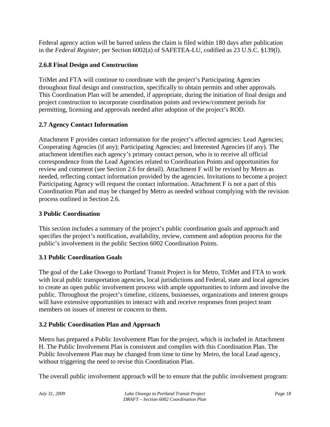Federal agency action will be barred unless the claim is filed within 180 days after publication in the *Federal Register*, per Section 6002(a) of SAFETEA-LU, codified as 23 U.S.C. §139(l).

### **2.6.8 Final Design and Construction**

TriMet and FTA will continue to coordinate with the project's Participating Agencies throughout final design and construction, specifically to obtain permits and other approvals. This Coordination Plan will be amended, if appropriate, during the initiation of final design and project construction to incorporate coordination points and review/comment periods for permitting, licensing and approvals needed after adoption of the project's ROD.

### **2.7 Agency Contact Information**

Attachment F provides contact information for the project's affected agencies: Lead Agencies; Cooperating Agencies (if any); Participating Agencies; and Interested Agencies (if any). The attachment identifies each agency's primary contact person, who is to receive all official correspondence from the Lead Agencies related to Coordination Points and opportunities for review and comment (see Section 2.6 for detail). Attachment F will be revised by Metro as needed, reflecting contact information provided by the agencies. Invitations to become a project Participating Agency will request the contact information. Attachment F is not a part of this Coordination Plan and may be changed by Metro as needed without complying with the revision process outlined in Section 2.6.

### **3 Public Coordination**

This section includes a summary of the project's public coordination goals and approach and specifies the project's notification, availability, review, comment and adoption process for the public's involvement in the public Section 6002 Coordination Points.

### **3.1 Public Coordination Goals**

The goal of the Lake Oswego to Portland Transit Project is for Metro, TriMet and FTA to work with local public transportation agencies, local jurisdictions and Federal, state and local agencies to create an open public involvement process with ample opportunities to inform and involve the public. Throughout the project's timeline, citizens, businesses, organizations and interest groups will have extensive opportunities to interact with and receive responses from project team members on issues of interest or concern to them.

### **3.2 Public Coordination Plan and Approach**

Metro has prepared a Public Involvement Plan for the project, which is included in Attachment H. The Public Involvement Plan is consistent and complies with this Coordination Plan. The Public Involvement Plan may be changed from time to time by Metro, the local Lead agency, without triggering the need to revise this Coordination Plan.

The overall public involvement approach will be to ensure that the public involvement program: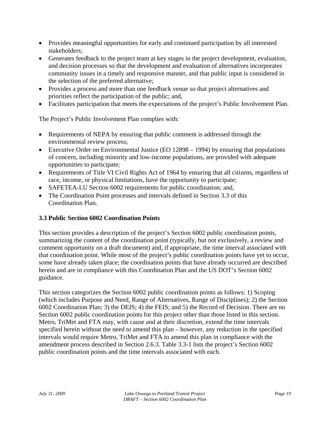- Provides meaningful opportunities for early and continued participation by all interested stakeholders;
- Generates feedback to the project team at key stages in the project development, evaluation, and decision processes so that the development and evaluation of alternatives incorporates community issues in a timely and responsive manner, and that public input is considered in the selection of the preferred alternative;
- Provides a process and more than one feedback venue so that project alternatives and priorities reflect the participation of the public; and,
- Facilitates participation that meets the expectations of the project's Public Involvement Plan.

The Project's Public Involvement Plan complies with:

- Requirements of NEPA by ensuring that public comment is addressed through the environmental review process;
- Executive Order on Environmental Justice (EO 12898 1994) by ensuring that populations of concern, including minority and low-income populations, are provided with adequate opportunities to participate;
- Requirements of Title VI Civil Rights Act of 1964 by ensuring that all citizens, regardless of race, income, or physical limitations, have the opportunity to participate;
- SAFETEA-LU Section 6002 requirements for public coordination; and,
- The Coordination Point processes and intervals defined in Section 3.3 of this Coordination Plan.

### **3.3 Public Section 6002 Coordination Points**

This section provides a description of the project's Section 6002 public coordination points, summarizing the content of the coordination point (typically, but not exclusively, a review and comment opportunity on a draft document) and, if appropriate, the time interval associated with that coordination point. While most of the project's public coordination points have yet to occur, some have already taken place; the coordination points that have already occurred are described herein and are in compliance with this Coordination Plan and the US DOT's Section 6002 guidance.

This section categorizes the Section 6002 public coordination points as follows: 1) Scoping (which includes Purpose and Need, Range of Alternatives, Range of Disciplines); 2) the Section 6002 Coordination Plan; 3) the DEIS; 4) the FEIS; and 5) the Record of Decision. There are no Section 6002 public coordination points for this project other than those listed in this section. Metro, TriMet and FTA may, with cause and at their discretion, extend the time intervals specified herein without the need to amend this plan – however, any reduction in the specified intervals would require Metro, TriMet and FTA to amend this plan in compliance with the amendment process described in Section 2.6.3. Table 3.3-1 lists the project's Section 6002 public coordination points and the time intervals associated with each.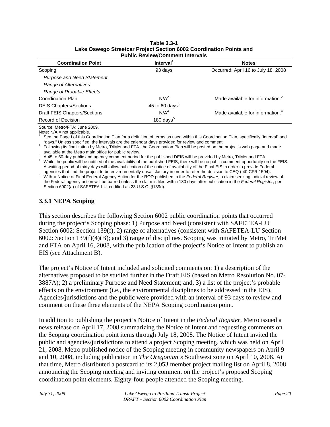| F UDIIL INGVIGW/LOITIITIGI ITILGI VAIS |                       |                                              |  |  |  |  |  |  |  |  |  |  |
|----------------------------------------|-----------------------|----------------------------------------------|--|--|--|--|--|--|--|--|--|--|
| <b>Coordination Point</b>              | Interval <sup>1</sup> | <b>Notes</b>                                 |  |  |  |  |  |  |  |  |  |  |
| Scoping                                | 93 days               | Occurred: April 16 to July 18, 2008          |  |  |  |  |  |  |  |  |  |  |
| <b>Purpose and Need Statement</b>      |                       |                                              |  |  |  |  |  |  |  |  |  |  |
| Range of Alternatives                  |                       |                                              |  |  |  |  |  |  |  |  |  |  |
| Range of Probable Effects              |                       |                                              |  |  |  |  |  |  |  |  |  |  |
| Coordination Plan                      | N/A <sup>2</sup>      | Made available for information. <sup>2</sup> |  |  |  |  |  |  |  |  |  |  |
| <b>DEIS Chapters/Sections</b>          | 45 to 60 days $3$     |                                              |  |  |  |  |  |  |  |  |  |  |
| Draft FEIS Chapters/Sections           | N/A <sup>4</sup>      | Made available for information. <sup>4</sup> |  |  |  |  |  |  |  |  |  |  |
| Record of Decision                     | 180 days $5$          |                                              |  |  |  |  |  |  |  |  |  |  |
|                                        |                       |                                              |  |  |  |  |  |  |  |  |  |  |

#### **Table 3.3-1 Lake Oswego Streetcar Project Section 6002 Coordination Points and Public Review/Comment Intervals**

Source: Metro/FTA; June 2009. Note:  $N/A$  = not applicable.

1 See the Page I of this Coordination Plan for a definition of terms as used within this Coordination Plan, specifically "interval" and "days." Unless specified, the intervals are the calendar days provided for review and comment. 2

 Following its finalization by Metro, TriMet and FTA, the Coordination Plan will be posted on the project's web page and made available at the Metro main office for public review.

A 45 to 60-day public and agency comment period for the published DEIS will be provided by Metro, TriMet and FTA.

<sup>4</sup> While the public will be notified of the availability of the published FEIS, there will be no public comment opportunity on the FEIS. A waiting period of thirty days will follow publication of the notice of availability of the Final EIS in order to provide Federal agencies that find the project to be environmentally unsatisfactory in order to refer the d

with a Notice of Final Federal Agency Action for the ROD published in the Federal Register, a claim seeking judicial review of the Federal agency action will be barred unless the claim is filed within 180 days after publication in the *Federal Register*, per Section 6002(a) of SAFETEA-LU, codified as 23 U.S.C. §139(I).

#### **3.3.1 NEPA Scoping**

This section describes the following Section 6002 public coordination points that occurred during the project's Scoping phase: 1) Purpose and Need (consistent with SAFETEA-LU Section 6002: Section 139(f); 2) range of alternatives (consistent with SAFETEA-LU Section 6002: Section 139(f)(4)(B); and 3) range of disciplines. Scoping was initiated by Metro, TriMet and FTA on April 16, 2008, with the publication of the project's Notice of Intent to publish an EIS (see Attachment B).

The project's Notice of Intent included and solicited comments on: 1) a description of the alternatives proposed to be studied further in the Draft EIS (based on Metro Resolution No. 07- 3887A); 2) a preliminary Purpose and Need Statement; and, 3) a list of the project's probable effects on the environment (i.e., the environmental disciplines to be addressed in the EIS). Agencies/jurisdictions and the public were provided with an interval of 93 days to review and comment on these three elements of the NEPA Scoping coordination point.

In addition to publishing the project's Notice of Intent in the *Federal Register*, Metro issued a news release on April 17, 2008 summarizing the Notice of Intent and requesting comments on the Scoping coordination point items through July 18, 2008. The Notice of Intent invited the public and agencies/jurisdictions to attend a project Scoping meeting, which was held on April 21, 2008. Metro published notice of the Scoping meeting in community newspapers on April 9 and 10, 2008, including publication in *The Oregonian's* Southwest zone on April 10, 2008. At that time, Metro distributed a postcard to its 2,053 member project mailing list on April 8, 2008 announcing the Scoping meeting and inviting comment on the project's proposed Scoping coordination point elements. Eighty-four people attended the Scoping meeting.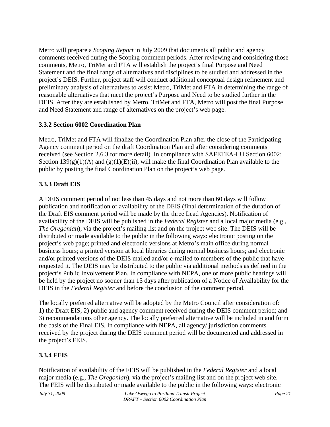Metro will prepare a *Scoping Report* in July 2009 that documents all public and agency comments received during the Scoping comment periods. After reviewing and considering those comments, Metro, TriMet and FTA will establish the project's final Purpose and Need Statement and the final range of alternatives and disciplines to be studied and addressed in the project's DEIS. Further, project staff will conduct additional conceptual design refinement and preliminary analysis of alternatives to assist Metro, TriMet and FTA in determining the range of reasonable alternatives that meet the project's Purpose and Need to be studied further in the DEIS. After they are established by Metro, TriMet and FTA, Metro will post the final Purpose and Need Statement and range of alternatives on the project's web page.

#### **3.3.2 Section 6002 Coordination Plan**

Metro, TriMet and FTA will finalize the Coordination Plan after the close of the Participating Agency comment period on the draft Coordination Plan and after considering comments received (see Section 2.6.3 for more detail). In compliance with SAFETEA-LU Section 6002: Section  $139(g)(1)(A)$  and  $(g)(1)(E)(ii)$ , will make the final Coordination Plan available to the public by posting the final Coordination Plan on the project's web page.

### **3.3.3 Draft EIS**

A DEIS comment period of not less than 45 days and not more than 60 days will follow publication and notification of availability of the DEIS (final determination of the duration of the Draft EIS comment period will be made by the three Lead Agencies). Notification of availability of the DEIS will be published in the *Federal Register* and a local major media (e.g., *The Oregonian*), via the project's mailing list and on the project web site. The DEIS will be distributed or made available to the public in the following ways: electronic posting on the project's web page; printed and electronic versions at Metro's main office during normal business hours; a printed version at local libraries during normal business hours; and electronic and/or printed versions of the DEIS mailed and/or e-mailed to members of the public that have requested it. The DEIS may be distributed to the public via additional methods as defined in the project's Public Involvement Plan. In compliance with NEPA, one or more public hearings will be held by the project no sooner than 15 days after publication of a Notice of Availability for the DEIS in the *Federal Register* and before the conclusion of the comment period.

The locally preferred alternative will be adopted by the Metro Council after consideration of: 1) the Draft EIS; 2) public and agency comment received during the DEIS comment period; and 3) recommendations other agency. The locally preferred alternative will be included in and form the basis of the Final EIS. In compliance with NEPA, all agency/ jurisdiction comments received by the project during the DEIS comment period will be documented and addressed in the project's FEIS.

#### **3.3.4 FEIS**

Notification of availability of the FEIS will be published in the *Federal Register* and a local major media (e.g., *The Oregonian*), via the project's mailing list and on the project web site. The FEIS will be distributed or made available to the public in the following ways: electronic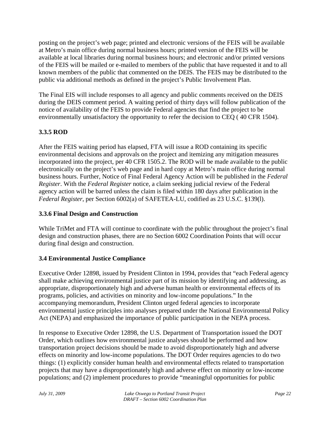posting on the project's web page; printed and electronic versions of the FEIS will be available at Metro's main office during normal business hours; printed version of the FEIS will be available at local libraries during normal business hours; and electronic and/or printed versions of the FEIS will be mailed or e-mailed to members of the public that have requested it and to all known members of the public that commented on the DEIS. The FEIS may be distributed to the public via additional methods as defined in the project's Public Involvement Plan.

The Final EIS will include responses to all agency and public comments received on the DEIS during the DEIS comment period. A waiting period of thirty days will follow publication of the notice of availability of the FEIS to provide Federal agencies that find the project to be environmentally unsatisfactory the opportunity to refer the decision to CEQ ( 40 CFR 1504).

### **3.3.5 ROD**

After the FEIS waiting period has elapsed, FTA will issue a ROD containing its specific environmental decisions and approvals on the project and itemizing any mitigation measures incorporated into the project, per 40 CFR 1505.2. The ROD will be made available to the public electronically on the project's web page and in hard copy at Metro's main office during normal business hours. Further, Notice of Final Federal Agency Action will be published in the *Federal Register*. With the *Federal Register* notice, a claim seeking judicial review of the Federal agency action will be barred unless the claim is filed within 180 days after publication in the *Federal Register*, per Section 6002(a) of SAFETEA-LU, codified as 23 U.S.C. §139(l).

#### **3.3.6 Final Design and Construction**

While TriMet and FTA will continue to coordinate with the public throughout the project's final design and construction phases, there are no Section 6002 Coordination Points that will occur during final design and construction.

#### **3.4 Environmental Justice Compliance**

Executive Order 12898, issued by President Clinton in 1994, provides that "each Federal agency shall make achieving environmental justice part of its mission by identifying and addressing, as appropriate, disproportionately high and adverse human health or environmental effects of its programs, policies, and activities on minority and low-income populations." In the accompanying memorandum, President Clinton urged federal agencies to incorporate environmental justice principles into analyses prepared under the National Environmental Policy Act (NEPA) and emphasized the importance of public participation in the NEPA process.

In response to Executive Order 12898, the U.S. Department of Transportation issued the DOT Order, which outlines how environmental justice analyses should be performed and how transportation project decisions should be made to avoid disproportionately high and adverse effects on minority and low-income populations. The DOT Order requires agencies to do two things: (1) explicitly consider human health and environmental effects related to transportation projects that may have a disproportionately high and adverse effect on minority or low-income populations; and (2) implement procedures to provide "meaningful opportunities for public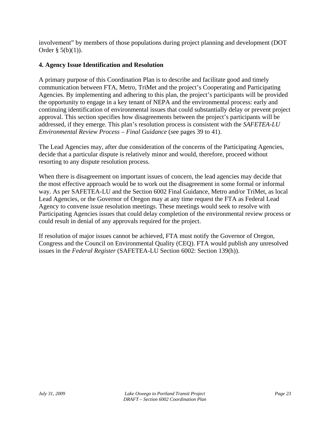involvement" by members of those populations during project planning and development (DOT Order  $\S$  5(b)(1)).

#### **4. Agency Issue Identification and Resolution**

A primary purpose of this Coordination Plan is to describe and facilitate good and timely communication between FTA, Metro, TriMet and the project's Cooperating and Participating Agencies. By implementing and adhering to this plan, the project's participants will be provided the opportunity to engage in a key tenant of NEPA and the environmental process: early and continuing identification of environmental issues that could substantially delay or prevent project approval. This section specifies how disagreements between the project's participants will be addressed, if they emerge. This plan's resolution process is consistent with the *SAFETEA-LU Environmental Review Process – Final Guidance* (see pages 39 to 41).

The Lead Agencies may, after due consideration of the concerns of the Participating Agencies, decide that a particular dispute is relatively minor and would, therefore, proceed without resorting to any dispute resolution process.

When there is disagreement on important issues of concern, the lead agencies may decide that the most effective approach would be to work out the disagreement in some formal or informal way. As per SAFETEA-LU and the Section 6002 Final Guidance, Metro and/or TriMet, as local Lead Agencies, or the Governor of Oregon may at any time request the FTA as Federal Lead Agency to convene issue resolution meetings. These meetings would seek to resolve with Participating Agencies issues that could delay completion of the environmental review process or could result in denial of any approvals required for the project.

If resolution of major issues cannot be achieved, FTA must notify the Governor of Oregon, Congress and the Council on Environmental Quality (CEQ). FTA would publish any unresolved issues in the *Federal Register* (SAFETEA-LU Section 6002: Section 139(h)).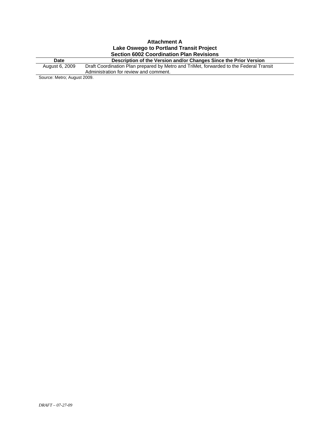|                | <b>Attachment A</b>                                                                    |
|----------------|----------------------------------------------------------------------------------------|
|                | Lake Oswego to Portland Transit Project                                                |
|                | <b>Section 6002 Coordination Plan Revisions</b>                                        |
| <b>Date</b>    | Description of the Version and/or Changes Since the Prior Version                      |
| August 6, 2009 | Draft Coordination Plan prepared by Metro and TriMet, forwarded to the Federal Transit |
|                | Administration for review and comment.                                                 |
| 0.0000         |                                                                                        |

Source: Metro; August 2009.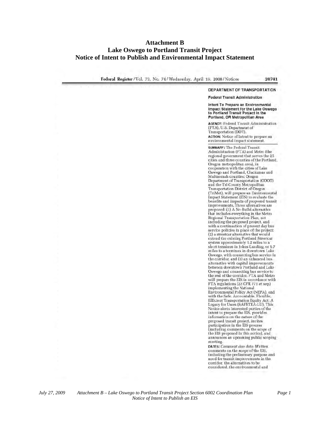#### **Attachment B Lake Oswego to Portland Transit Project Notice of Intent to Publish and Environmental Impact Statement**

Federal Register / Vol. 73, No. 74 / Wednesday. April 16, 2008 / Notices

#### DEPARTMENT OF TRANSPORTATION **Federal Transit Administration** Intent To Prepare an Environmental Impact Statement for the Lake Oswego<br>to Portland Transit Project in the Portland, OR Metropolitan Area AGENCY: Federal Transit Administration (FTA), U.S. Department of Transportation (DOT). ACTION: Notice of Intent to prepare an environmental impact statement. **SUMMARY: The Federal Transit** Administration (FTA) and Metro (the regional government that serves the 25<br>cities and three counties of the Portland Oregon metropolitan area), in<br>cooperation with the cities of Lake Oswego and Portland, Clackamas and Multnomah counties; Oregon Department of Transportation (ODOT)<br>and the Tri-County Metropolitan Transportation District of Oregon (TriMet), will prepare an Environmental<br>Impact Statement (EIS) to evaluate the benefits and impacts of proposed transit<br>improvements. Three alternatives are<br>proposed: (1) A No-Build alternative that includes everything in the Metro Regional Transportation Plan, not including the proposed project. and with a continuation of present day bus service policies in place of the project: (2) a streetcar alternative that would<br>extend the existing Portland Streetcar system approximately 1.2 miles to a short terminus in Johns Landing, or 5.7 miles to a terminus in downtown Lake Oswego, with connecting bus service in the corridor, and (3) an enhanced bus. alternative with capital improvements between downtown Portland and Lake Oswego and connecting bus service to<br>the rest of the corridor. FTA and Metro will prepare the EIS in accordance with FTA regulations (23 CFR 771 et seq.) implementing the National Environmental Policy Act (NEPA), and with the Safe, Accountable, Flexible, Efficient Transportation Equity Act: A Legacy for Users (SAFETEA-LU). This Notice alerts interested parties of the<br>intent to prepare the EIS, provides information on the nature of the proposed transit project, invites<br>participation in the EIS process<br>(including comments on the scope of the EIS proposed in this notice), and announces an upcoming public scoping meeting. DATES: Comment due date: Written comments on the scope of the EIS, including the preliminary purpose and need for transit improvements in the corridor, the alternatives to be

considered, the environmental and

*July 27, 2009 Attachment B – Lake Oswego to Portland Transit Project Section 6002 Coordination Plan Page 1 Notice of Intent to Publish an EIS*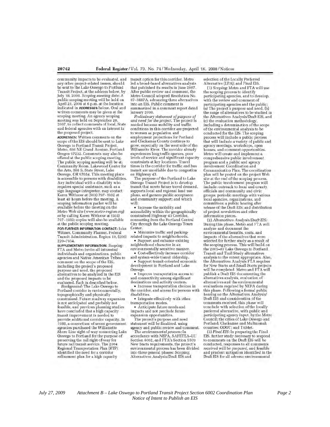community impacts to be evaluated, and any other project-related issues, should<br>be sent to the Lake Oswego to Portland Transit Project, at the address below, by July 18, 2008. Scoping meeting date: A public scoping meeting will be held on April 21, 2008 at 6 p.m. at the location indicated in ADDRESSES below. Oral and written comments may be given at the scoping meeting. An agency scoping meeting was held on September 26.<br>2007, to collect comments of local, State and federal agencies with an interest in the proposed project.

ADDRESSES: Written comments on the scope of the EIS should be sent to Lake Oswego to Portland Transit Project, Metro, 600 NE Grand Avenue, Portland Oregon 97232. Comments may also be offered at the public scoping meeting. The public scoping meeting will be at: Community Room, Lakewood Center for the Arts. 368 S. State Street, Lake Oswego, OR 97034. This meeting place is accessible to persons with disabilities. Any individual with a disability who requires special assistance, such as a sign language interpreter, may contact Karen Withrow at (503) 797-1932 at least 48 hours before the meeting. A scoping information packet will be available before the meeting on the Metro Web site (www.metro-region.org) or by calling Karen Withrow at (503) 797-1932; copies will also be available at the public scoping meeting.

FOR FURTHER INFORMATION CONTACT: John Witmer, Community Planner, Federal Transit Administration, Region 10, (206) 220-7954.

SUPPLEMENTARY INFORMATION: Scoping: FTA and Metro invite all interested individuals and organizations, public<br>agencies and Native American Tribes to comment on the scope of the EIS, including the project's proposed purpose and need, the proposed alternatives to be analyzed in the EIS and the proposed impacts to be evaluated. Each is described below.<br>Background: The Lake Oswego to

Portland corridor is environmentally, topographically and physically constrained. Future roadway expansion is not anticipated and probably not feasible, and previous planning studies have concluded that a high capacity transit improvement is needed to provide additional corridor capacity. In 1988, a consortium of seven government. agencies purchased the Willamette Shore Line right-of-way connecting Lake Oswego to Portland for the purpose of preserving the rail right-of-way for future rail transit service. The 2004 Regional Transportation Plan (RTP) identified the need for a corridor refinement plan for a high capacity

transit option for this corridor. Metro led a broad-based alternatives analysis that published its results in June 2007. After public review and comment, the Metro Council adopted Resolution No. 07-3887A, advancing three alternatives into an EIS. Public comment is summarized in a comment report dated January 2008.

Preliminary statement of purpose of and need for the project. The project is needed because mobility and traffic conditions in this corridor are projected to worsen as population and employment projections for Portland<br>and Clackamas County continue to grow, especially on the west side of the Willamette River. The corridor already experiences long traffic queues, poor levels of service and significant capacity constraints at key locations. Travel times in the corridor for traffic and bus transit are unreliable due to congestion on Highway 43.

The purpose of the Portland to Lake Oswego Transit Project is to develop transit that meets future travel demand. supports local and regional land use plans, and garners public acceptance and community support: and which will:

· Increase the mobility and accessibility within the geographically<br>constrained Highway 43 Corridor. connecting from the Portland Central City through the Lake Oswego Town Center.

• Minimize traffic and parkingrelated impacts to neighborhoods. · Support and enhance existing

neighborhood character in an environmentally sensitive manner.

• Cost-effectively increase corridor and system-wide transit ridership.

· Support transit-oriented economic development in Portland and Lake Oswego.

· Improve transportation access to and connectivity among significant destinations and activity centers.

· Increase transportation choices in the corridor, and access for persons with disabilities.

· Integrate effectively with other transportation modes. • Anticipate future needs and

impacts and not preclude future expansion opportunities.

The project's purpose and need<br>statement will be finalized, using agency and public review and comment.

The environmental process: In accordance with NEPA, SAFETEA-LU Section 6002, and FTA's Section 5309 New Starts requirements, the project environmental process has been divided into three general phases: Scoping; Alternatives Analysis/Draft EIS and

selection of the Locally Preferred

Alternative (LPA); and Final EIS. (1) Scoping: Metro and FTA will use the scoping process to identify participating agencies, and to develop, with the review and comment of participating agencies and the public: (a) The project's purpose and need, (b) the range of alternatives to be studied in the Alternatives Analysis/Draft EIS, and (c) the evaluation methodology including a determination of the scope of the environmental analysis to be conducted for the EIS. The scoping process will include a public process<br>that will include a variety of public and agency meetings, workshops, open houses, and comment opportunities. Metro will create and implement a comprehensive public involvement program and a public and agency involvement Coordination and Communication Plan. The coordination plan will be posted on the project Web site at the end of the scoping process The public involvement program will<br>include: outreach to local and county officials and community and civic groups: periodic meetings with various local agencies, organizations, and committees; a public hearing after release of the Draft EIS; and distribution of project newsletters and other information pieces.

(2) Alternatives Analysis/Draft EIS: During this phase, Metro and FTA will analyze and document the environmental benefits, costs, and impacts of the alternatives that were selected for further study as a result of the scoping process. This will build on the 2005-07 Lake Oswego to Portland Transit and Trail Study alternatives analysis to the extent appropriate. Also, the Alternatives Analysis FTA requires for New Starts and Small Starts projects<br>will be completed. Metro and FTA will publish a Draft EIS documenting the alternatives analysis, evaluation of alternatives and the environmental evaluations required by NEPA during this phase. Following a formal public hearing on the Alternatives Analysis/ Draft EIS and consideration of the comments received, this phase will conclude with selection of the locally preferred alternative, with public and<br>participating agency input, by the Metro Council; the cities of Lake Oswego and Portland; Clackamas and Multnomah counties; ODOT; and TriMet.

(3) Final EIS: In preparing the Final EIS, further study necessary to respond to comments on the Draft EIS will be conducted, responses to all comments received will be prepared, and feasible and prudent mitigation identified in the Draft EIS for all adverse environmental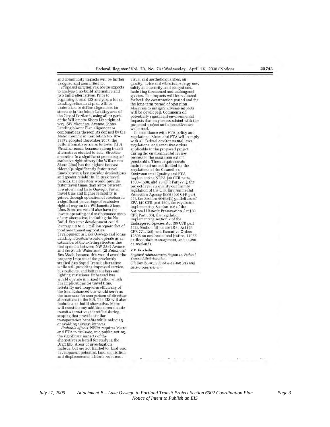and community impacts will be further designed and committed to.<br>Proposed alternatives: Metro expects

to analyze a no-build alternative and two build alternatives. Prior to beginning formal EIS analysis, a Johns Landing refinement plan will be undertaken to define alignments for streetcar in the John's Landing area of the City of Portland, using all or parts of the Willamette Shore Line right-ofway, SW Macadam Avenue, Johns Landing Master Plan alignment or combinations thereof. As defined by the Metro Council in Resolution No. 07-3887a adopted December 2007, the build alternatives are as follows: (1) A Streetcar mode, because among transit alternatives studied to date. Streetcar operation in a significant percentage of exclusive right-of-way (the Willamette Shore Line) has the highest forecast ridership, significantly faster travel times between key corridor destinations,<br>and greater reliability. In peak travel<br>periods, the Streetcar would provide faster travel times than autos between downtown and Lake Oswego. Faster travel time and higher reliability is gained through operation of streetcar in a significant percentage of exclusive<br>right of way on the Willamette Shore Line. Streetcar would also have the lowest operating and maintenance costs of any alternative, including the No-Build. Streetcar development could leverage up to 3.3 million square feet of total new transit supportive development in Lake Oswego and Johns Landing. Streetcar would operate as an extension of the existing streetcar line<br>that operates between NW 23rd Avenue and the South Waterfront. (2) Enhanced Bus Mode, because this would avoid the property impacts of the previously studied Bus Rapid Transit alternative while still providing improved service, bus pullouts, and better shelters and<br>lighting at stations. Enhanced bus would operate in mixed traffic, which has implications for travel time, reliability and long-term efficiency of the line. Enhanced bus would serve as the base case for comparison of Streetcar<br>alternatives in the EIS. The EIS will also include a no-build alternative. Metro will consider any additional reasonable transit alternatives identified during scoping that provide similar

transportation benefits while reducing

or avoiding adverse impacts.<br> *Probable offects:* NEPA requires Metro<br>
and FTA to evaluate, in a public setting. the significant impacts of the alternatives selected for study in the Draft ElS. Areas of investigation include, but are not limited to, land use, development potential, land acquisition and displacements, historic resources.

visual and aesthetic qualities, air quality, noise and vibration, energy use, safety and security, and ecosystems, including threatened and endangered species. The impacts will be evaluated for both the construction period and for the long-term period of operation. Measures to mitigate adverse impacts will be developed. Comments on potentially significant environmental impacts that may be associated with the proposed project and alternatives are welcomed.

In accordance with FTA policy and regulations. Metro and FTA will comply with all Federal environmental laws, regulations, and executive orders applicable to the proposed project during the environmental review process to the maximum extent<br>practicable. These requirements include, but are not limited to, the regulations of the Council on Environmental Quality and FTA implementing NEPA (40 CFR parts 1500-1508, and 23 CFR Part 771), the project-level air quality conformity<br>regulation of the U.S. Environmental Protection Agency (EPA) (40 CFR part 93), the Section 404(b)(1) guidelines of EPA (40 CFR part 230), the regulation<br>implementing Section 106 of the<br>National Historic Preservation Act (36 CFR Part 800), the regulation implementing section 7 of the Endangered Species Act (50 CFR part 402], Section 4(f) of the DOT Act (23 CFR 771.135), and Executive Orders 12898 on environmental justice, 11988 on floodplain management, and 11990 on wetlands.

#### R.F. Krochalis,

Regional Administrator, Region 10, Federal Transit Administration [FR Doc. E8-8189 Filed 4-15-08: 8:45 am] BILLING CODE 4910-57-P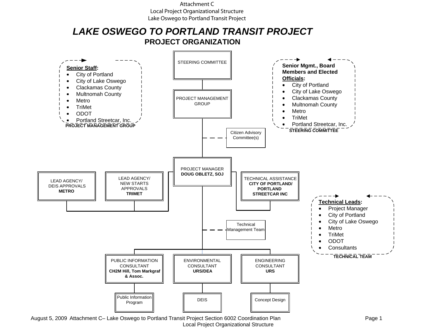#### Attachment C Local Project Organizational Structure Lake Oswego to Portland Transit Project

# *LAKE OSWEGO TO PORTLAND TRANSIT PROJECT* **PROJECT ORGANIZATION**



Local Project Organizational Structure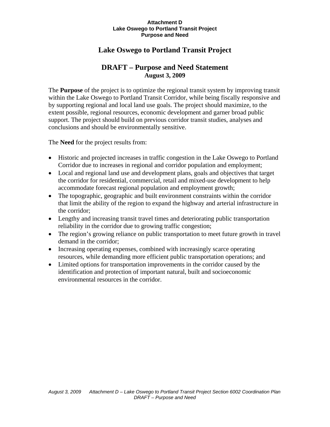#### **Attachment D Lake Oswego to Portland Transit Project Purpose and Need**

# **Lake Oswego to Portland Transit Project**

### **DRAFT – Purpose and Need Statement August 3, 2009**

The **Purpose** of the project is to optimize the regional transit system by improving transit within the Lake Oswego to Portland Transit Corridor, while being fiscally responsive and by supporting regional and local land use goals. The project should maximize, to the extent possible, regional resources, economic development and garner broad public support. The project should build on previous corridor transit studies, analyses and conclusions and should be environmentally sensitive.

The **Need** for the project results from:

- Historic and projected increases in traffic congestion in the Lake Oswego to Portland Corridor due to increases in regional and corridor population and employment;
- Local and regional land use and development plans, goals and objectives that target the corridor for residential, commercial, retail and mixed-use development to help accommodate forecast regional population and employment growth;
- The topographic, geographic and built environment constraints within the corridor that limit the ability of the region to expand the highway and arterial infrastructure in the corridor;
- Lengthy and increasing transit travel times and deteriorating public transportation reliability in the corridor due to growing traffic congestion;
- The region's growing reliance on public transportation to meet future growth in travel demand in the corridor;
- Increasing operating expenses, combined with increasingly scarce operating resources, while demanding more efficient public transportation operations; and
- Limited options for transportation improvements in the corridor caused by the identification and protection of important natural, built and socioeconomic environmental resources in the corridor.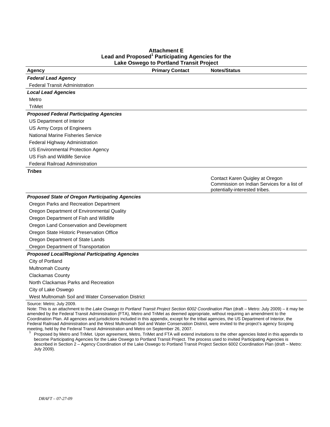#### **Attachment E Lead and Proposed<sup>1</sup> Participating Agencies for the Lake Oswego to Portland Transit Project**

| <b>Agency</b>                                          | <b>Primary Contact</b> | <b>Notes/Status</b>                                                           |
|--------------------------------------------------------|------------------------|-------------------------------------------------------------------------------|
| <b>Federal Lead Agency</b>                             |                        |                                                                               |
| <b>Federal Transit Administration</b>                  |                        |                                                                               |
| <b>Local Lead Agencies</b>                             |                        |                                                                               |
| Metro                                                  |                        |                                                                               |
| <b>TriMet</b>                                          |                        |                                                                               |
| <b>Proposed Federal Participating Agencies</b>         |                        |                                                                               |
| US Department of Interior                              |                        |                                                                               |
| US Army Corps of Engineers                             |                        |                                                                               |
| <b>National Marine Fisheries Service</b>               |                        |                                                                               |
| Federal Highway Administration                         |                        |                                                                               |
| US Environmental Protection Agency                     |                        |                                                                               |
| US Fish and Wildlife Service                           |                        |                                                                               |
| <b>Federal Railroad Administration</b>                 |                        |                                                                               |
| <b>Tribes</b>                                          |                        |                                                                               |
|                                                        |                        | Contact Karen Quigley at Oregon                                               |
|                                                        |                        | Commission on Indian Services for a list of<br>potentially-interested tribes. |
| <b>Proposed State of Oregon Participating Agencies</b> |                        |                                                                               |
| Oregon Parks and Recreation Department                 |                        |                                                                               |
| Oregon Department of Environmental Quality             |                        |                                                                               |
| Oregon Department of Fish and Wildlife                 |                        |                                                                               |
| Oregon Land Conservation and Development               |                        |                                                                               |
| Oregon State Historic Preservation Office              |                        |                                                                               |
| Oregon Department of State Lands                       |                        |                                                                               |
| Oregon Department of Transportation                    |                        |                                                                               |
| <b>Proposed Local/Regional Participating Agencies</b>  |                        |                                                                               |
| City of Portland                                       |                        |                                                                               |
| Multnomah County                                       |                        |                                                                               |
| <b>Clackamas County</b>                                |                        |                                                                               |
| North Clackamas Parks and Recreation                   |                        |                                                                               |
| City of Lake Oswego                                    |                        |                                                                               |
| West Multnomah Soil and Water Conservation District    |                        |                                                                               |
| Source: Metro; July 2009.                              |                        |                                                                               |

Note: This is an attachment to the *Lake Oswego to Portland Transit Project Section 6002 Coordination Plan* (draft – Metro: July 2009) – it may be amended by the Federal Transit Administration (FTA), Metro and TriMet as deemed appropriate, without requiring an amendment to the Coordination Plan. All agencies and jurisdictions included in this appendix, except for the tribal agencies, the US Department of Interior, the Federal Railroad Administration and the West Multnomah Soil and Water Conservation District, were invited to the project's agency Scoping meeting, held by the Federal Transit Administration and Metro on September 26, 2007.

Proposed by Metro and TriMet. Upon agreement, Metro, TriMet and FTA will extend invitations to the other agencies listed in this appendix to become Participating Agencies for the Lake Oswego to Portland Transit Project. The process used to invited Participating Agencies is described in Section 2 – Agency Coordination of the Lake Oswego to Portland Transit Project Section 6002 Coordination Plan (draft – Metro: July 2009).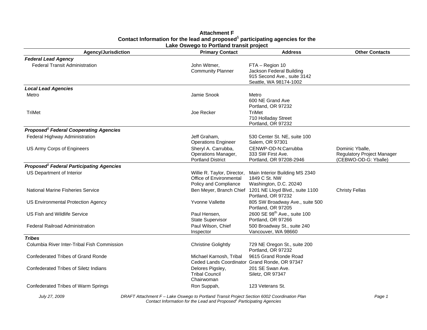| <b>Agency/Jurisdiction</b>                                 | <b>Primary Contact</b>                                                          | <b>Address</b>                                                                                       | <b>Other Contacts</b>                                                 |
|------------------------------------------------------------|---------------------------------------------------------------------------------|------------------------------------------------------------------------------------------------------|-----------------------------------------------------------------------|
| <b>Federal Lead Agency</b>                                 |                                                                                 |                                                                                                      |                                                                       |
| <b>Federal Transit Administration</b>                      | John Witmer,<br><b>Community Planner</b>                                        | FTA - Region 10<br>Jackson Federal Building<br>915 Second Ave., suite 3142<br>Seattle, WA 98174-1002 |                                                                       |
| <b>Local Lead Agencies</b>                                 |                                                                                 |                                                                                                      |                                                                       |
| Metro                                                      | Jamie Snook                                                                     | Metro<br>600 NE Grand Ave<br>Portland, OR 97232                                                      |                                                                       |
| TriMet                                                     | Joe Recker                                                                      | <b>TriMet</b><br>710 Holladay Street<br>Portland, OR 97232                                           |                                                                       |
| <b>Proposed<sup>1</sup></b> Federal Cooperating Agencies   |                                                                                 |                                                                                                      |                                                                       |
| Federal Highway Administration                             | Jeff Graham,<br><b>Operations Engineer</b>                                      | 530 Center St. NE, suite 100<br>Salem, OR 97301                                                      |                                                                       |
| US Army Corps of Engineers                                 | Sheryl A. Carrubba,<br>Operations Manager,<br><b>Portland District</b>          | CENWP-OD-N:Carrubba<br>333 SW First Ave.<br>Portland, OR 97208-2946                                  | Dominic Yballe,<br>Regulatory Project Manager<br>(CEBWO-OD-G: Yballe) |
| <b>Proposed<sup>1</sup></b> Federal Participating Agencies |                                                                                 |                                                                                                      |                                                                       |
| US Department of Interior                                  | Willie R. Taylor, Director,<br>Office of Environmental<br>Policy and Compliance | Main Interior Building MS 2340<br>1849 C St. NW<br>Washington, D.C. 20240                            |                                                                       |
| <b>National Marine Fisheries Service</b>                   | Ben Meyer, Branch Chief                                                         | 1201 NE Lloyd Blvd., suite 1100<br>Portland, OR 97232                                                | <b>Christy Fellas</b>                                                 |
| US Environmental Protection Agency                         | Yvonne Vallette                                                                 | 805 SW Broadway Ave., suite 500<br>Portland, OR 97205                                                |                                                                       |
| US Fish and Wildlife Service                               | Paul Hensen.<br><b>State Supervisor</b>                                         | 2600 SE 98 <sup>th</sup> Ave., suite 100<br>Portland, OR 97266                                       |                                                                       |
| <b>Federal Railroad Administration</b>                     | Paul Wilson, Chief<br>Inspector                                                 | 500 Broadway St., suite 240<br>Vancouver, WA 98660                                                   |                                                                       |
| <b>Tribes</b>                                              |                                                                                 |                                                                                                      |                                                                       |
| Columbia River Inter-Tribal Fish Commission                | <b>Christine Golightly</b>                                                      | 729 NE Oregon St., suite 200<br>Portland, OR 97232                                                   |                                                                       |
| Confederated Tribes of Grand Ronde                         | Michael Karnosh, Tribal                                                         | 9615 Grand Ronde Road<br>Ceded Lands Coordinator Grand Ronde, OR 97347                               |                                                                       |
| Confederated Tribes of Siletz Indians                      | Delores Pigsley,<br><b>Tribal Council</b><br>Chairwoman                         | 201 SE Swan Ave.<br>Siletz, OR 97347                                                                 |                                                                       |
| Confederated Tribes of Warm Springs                        | Ron Suppah,                                                                     | 123 Veterans St.                                                                                     |                                                                       |

#### **Attachment F Contact Information for the lead and proposed1 participating agencies for the Lake Oswego to Portland transit project**

*July 27, 2009 DRAFT Attachment F – Lake Oswego to Portland Transit Project Section 6002 Coordination Plan Page 1 Contact Information for the Lead and Proposed1 Participating Agencies*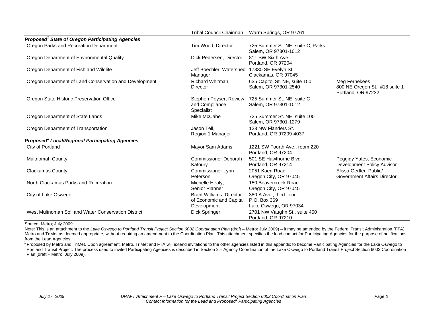|                                                                   | Tribal Council Chairman                                            | Warm Springs, OR 97761                                           |                                                                       |  |  |  |  |
|-------------------------------------------------------------------|--------------------------------------------------------------------|------------------------------------------------------------------|-----------------------------------------------------------------------|--|--|--|--|
| Proposed <sup>1</sup> State of Oregon Participating Agencies      |                                                                    |                                                                  |                                                                       |  |  |  |  |
| Oregon Parks and Recreation Department                            | Tim Wood, Director                                                 | 725 Summer St. NE, suite C, Parks<br>Salem, OR 97301-1012        |                                                                       |  |  |  |  |
| Oregon Department of Environmental Quality                        | Dick Pedersen, Director                                            | 811 SW Sixth Ave.<br>Portland, OR 97204                          |                                                                       |  |  |  |  |
| Oregon Department of Fish and Wildlife                            | Jeff Boechler, Watershed 17330 SE Evelyn St.<br>Manager            | Clackamas, OR 97045                                              |                                                                       |  |  |  |  |
| Oregon Department of Land Conservation and Development            | Richard Whitman,<br>Director                                       | 635 Capitol St. NE, suite 150<br>Salem, OR 97301-2540            | Meg Fernekees<br>800 NE Oregon St,, #18 suite 1<br>Portland, OR 97232 |  |  |  |  |
| Oregon State Historic Preservation Office                         | Stephen Poyser, Review<br>and Compliance<br>Specialist             | 725 Summer St. NE, suite C<br>Salem, OR 97301-1012               |                                                                       |  |  |  |  |
| Oregon Department of State Lands                                  | Mike McCabe                                                        | 725 Summer St. NE, suite 100<br>Salem, OR 97301-1279             |                                                                       |  |  |  |  |
| Oregon Department of Transportation                               | Jason Tell,<br>Region 1 Manager                                    | 123 NW Flanders St.<br>Portland, OR 97209-4037                   |                                                                       |  |  |  |  |
| <b>Proposed<sup>1</sup> Local/Regional Participating Agencies</b> |                                                                    |                                                                  |                                                                       |  |  |  |  |
| City of Portland                                                  | Mayor Sam Adams                                                    | 1221 SW Fourth Ave., room 220<br>Portland, OR 97204              |                                                                       |  |  |  |  |
| <b>Multnomah County</b>                                           | <b>Commissioner Deborah</b><br>Kafoury                             | 501 SE Hawthorne Blvd.<br>Portland, OR 97214                     | Peggidy Yates, Economic<br>Development Policy Advisor                 |  |  |  |  |
| <b>Clackamas County</b>                                           | Commissioner Lynn<br>Peterson                                      | 2051 Kaen Road<br>Oregon City, OR 97045                          | Elissa Gertler, Public/<br><b>Government Affairs Director</b>         |  |  |  |  |
| North Clackamas Parks and Recreation                              | Michelle Healy,<br>Senior Planner                                  | 150 Beavercreek Road<br>Oregon City, OR 97045                    |                                                                       |  |  |  |  |
| City of Lake Oswego                                               | Brant Williams, Director<br>of Economic and Capital<br>Development | 380 A Ave., third floor<br>P.O. Box 369<br>Lake Oswego, OR 97034 |                                                                       |  |  |  |  |
| West Multnomah Soil and Water Conservation District               | Dick Springer                                                      | 2701 NW Vaughn St., suite 450<br>Portland, OR 97210              |                                                                       |  |  |  |  |

Source: Metro; July 2009.

Note: This is an attachment to the Lake Oswego to Portland Transit Project Section 6002 Coordination Plan (draft – Metro: July 2009) – it may be amended by the Federal Transit Administration (FTA), Metro and TriMet as deemed appropriate, without requiring an amendment to the Coordination Plan. This attachment specifies the lead contact for Participating Agencies for the purpose of notifications from the Lead Agencies

<sup>1</sup> Proposed by Metro and TriMet. Upon agreement, Metro, TriMet and FTA will extend invitations to the other agencies listed in this appendix to become Participating Agencies for the Lake Oswego to Portland Transit Project. The process used to invited Participating Agencies is described in Section 2 – Agency Coordination of the Lake Oswego to Portland Transit Project Section 6002 Coordination Plan (draft – Metro: July 2009).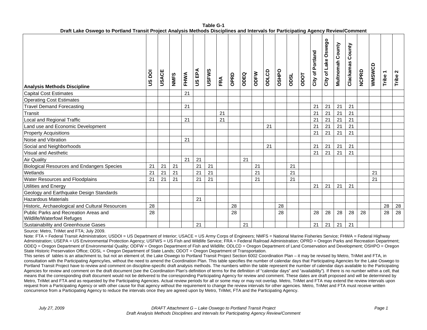| <b>Analysis Methods Discipline</b>                                  | ā<br>9S | USACE | <b>NMFS</b> | FHWA | US EPA | <b>USFWS</b> | FRA | OPRD | ODEQ | <b>ODFW</b> | ODLCD | OSHPO | <b>TSCO</b> | ODOT | City of Portland | City of Lake Oswego | <b>Multnomah County</b> | County<br>Clackamas | <b>NCPRD</b> | <b>WMSWCD</b> | $\overline{\phantom{0}}$<br>Tribe | N<br>Tribe |
|---------------------------------------------------------------------|---------|-------|-------------|------|--------|--------------|-----|------|------|-------------|-------|-------|-------------|------|------------------|---------------------|-------------------------|---------------------|--------------|---------------|-----------------------------------|------------|
| <b>Capital Cost Estimates</b>                                       |         |       |             | 21   |        |              |     |      |      |             |       |       |             |      |                  |                     |                         |                     |              |               |                                   |            |
| <b>Operating Cost Estimates</b>                                     |         |       |             |      |        |              |     |      |      |             |       |       |             |      |                  |                     |                         |                     |              |               |                                   |            |
| <b>Travel Demand Forecasting</b>                                    |         |       |             | 21   |        |              |     |      |      |             |       |       |             |      | 21               | 21                  | 21                      | 21                  |              |               |                                   |            |
| Transit                                                             |         |       |             |      |        |              | 21  |      |      |             |       |       |             |      | 21               | 21                  | 21                      | 21                  |              |               |                                   |            |
| Local and Regional Traffic                                          |         |       |             | 21   |        |              | 21  |      |      |             |       |       |             |      | 21               | 21                  | 21                      | 21                  |              |               |                                   |            |
| Land use and Economic Development                                   |         |       |             |      |        |              |     |      |      |             | 21    |       |             |      | 21               | 21                  | 21                      | 21                  |              |               |                                   |            |
| <b>Property Acquisitions</b>                                        |         |       |             |      |        |              |     |      |      |             |       |       |             |      | 21               | 21                  | 21                      | 21                  |              |               |                                   |            |
| Noise and Vibration                                                 |         |       |             | 21   |        |              |     |      |      |             |       |       |             |      |                  |                     |                         |                     |              |               |                                   |            |
| Social and Neighborhoods                                            |         |       |             |      |        |              |     |      |      |             | 21    |       |             |      | 21               | 21                  | 21                      | 21                  |              |               |                                   |            |
| Visual and Aesthetic                                                |         |       |             |      |        |              |     |      |      |             |       |       |             |      | 21               | 21                  | 21                      | 21                  |              |               |                                   |            |
| <b>Air Quality</b>                                                  |         |       |             | 21   | 21     |              |     |      | 21   |             |       |       |             |      |                  |                     |                         |                     |              |               |                                   |            |
| <b>Biological Resources and Endangers Species</b>                   | 21      | 21    | 21          |      | 21     | 21           |     |      |      | 21          |       |       | 21          |      |                  |                     |                         |                     |              |               |                                   |            |
| Wetlands                                                            | 21      | 21    | 21          |      | 21     | 21           |     |      |      | 21          |       |       | 21          |      |                  |                     |                         |                     |              | 21            |                                   |            |
| <b>Water Resources and Floodplains</b>                              | 21      | 21    | 21          |      | 21     | 21           |     |      |      | 21          |       |       | 21          |      |                  |                     |                         |                     |              | 21            |                                   |            |
| Utilities and Energy                                                |         |       |             |      |        |              |     |      |      |             |       |       |             |      | 21               | 21                  | 21                      | 21                  |              |               |                                   |            |
| Geology and Earthquake Design Standards                             |         |       |             |      |        |              |     |      |      |             |       |       |             |      |                  |                     |                         |                     |              |               |                                   |            |
| <b>Hazardous Materials</b>                                          |         |       |             |      | 21     |              |     |      |      |             |       |       |             |      |                  |                     |                         |                     |              |               |                                   |            |
| Historic, Archaeological and Cultural Resources                     | 28      |       |             |      |        |              |     | 28   |      |             |       | 28    |             |      |                  |                     |                         |                     |              |               | 28                                | 28         |
| Public Parks and Recreation Areas and<br>Wildlife/Waterfowl Refuges | 28      |       |             |      |        |              |     | 28   |      |             |       | 28    |             |      | 28               | 28                  | 28                      | 28                  | 28           |               | 28                                | 28         |
| Sustainability and Greenhouse Gases                                 |         |       |             |      | 21     |              |     |      | 21   |             |       |       |             |      | 21               | 21                  | 21                      | 21                  |              |               |                                   |            |

**Table G-1Draft Lake Oswego to Portland Transit Project Analysis Methods Disciplines and Intervals for Participating Agency Review/Comment** 

Source: Metro, TriMet and FTA; July 2009.

Note: FTA = Federal Transit Administration; USDOI = US Department of Interior; USACE = US Army Corps of Engineers; NMFS = National Marine Fisheries Service; FHWA = Federal Highway Administration; USEPA = US Environmental Protection Agency; USFWS = US Fish and Wildlife Service; FRA = Federal Railroad Administration; OPRD = Oregon Parks and Recreation Department; ODEQ = Oregon Department of Environmental Quality; ODFW = Oregon Department of Fish and Wildlife; ODLCD = Oregon Department of Land Conservation and Development; OSHPO = Oregon State Historic Preservation Office; ODSL = Oregon Department of State Lands; ODOT = Oregon Department of Transportation.

This series of tables is an attachment to, but not an element of, the Lake Oswego to Portland Transit Project Section 6002 Coordination Plan – it may be revised by Metro, TriMet and FTA, in consultation with the Participating Agency/ies, without the need to amend the Coordination Plan. This table specifies the number of calendar days that Participating Agencies for the Lake Oswego to Portland Transit Project have to review and comment on discipline-specific draft analysis methods. The numbers within the table represent the number of calendar days available to the Participating Agencies for review and comment on the draft document (see the Coordination Plan's definition of terms for the definition of "calendar days" and "availability"). If there is no number within a cell, that means that the corresponding draft document would not be delivered to the corresponding Participating Agency for review and comment. These dates are draft proposed and will be determined by Metro, TriMet and FTA and as requested by the Participating Agencies. Actual review periods for all or some may or may not overlap. Metro, TriMet and FTA may extend the review intervals upon request from a Participating Agency or with other cause for that agency without the requirement to change the review intervals for other agencies. Metro, TriMet and FTA must receive written concurrence from a Participating Agency to reduce the intervals once they are agreed upon by Metro, TriMet, FTA and the Participating Agency.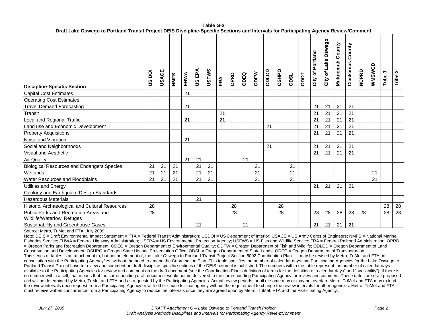|                                                                     |               |       |             |      |        | ,,,,,,       |     |      |      |      | security and must raid for a disipleming rigency |       |             |                  |                     |                  |                     |       |               |                                   |            |
|---------------------------------------------------------------------|---------------|-------|-------------|------|--------|--------------|-----|------|------|------|--------------------------------------------------|-------|-------------|------------------|---------------------|------------------|---------------------|-------|---------------|-----------------------------------|------------|
| <b>Discipline-Specific Section</b>                                  | <b>US DOI</b> | USACE | <b>NMFS</b> | FHWA | US EPA | <b>USFWS</b> | FRA | OPRD | ODEQ | ODFW | ODLCD                                            | OSHPO | <b>TSCO</b> | City of Portland | City of Lake Oswego | Multnomah County | County<br>Clackamas | NCPRD | <b>USWSWA</b> | $\overline{\phantom{0}}$<br>Tribe | N<br>Tribe |
| <b>Capital Cost Estimates</b>                                       |               |       |             | 21   |        |              |     |      |      |      |                                                  |       |             |                  |                     |                  |                     |       |               |                                   |            |
| <b>Operating Cost Estimates</b>                                     |               |       |             |      |        |              |     |      |      |      |                                                  |       |             |                  |                     |                  |                     |       |               |                                   |            |
| <b>Travel Demand Forecasting</b>                                    |               |       |             | 21   |        |              |     |      |      |      |                                                  |       |             | 21               | 21                  | 21               | 21                  |       |               |                                   |            |
| Transit                                                             |               |       |             |      |        |              | 21  |      |      |      |                                                  |       |             | 21               | 21                  | 21               | 21                  |       |               |                                   |            |
| Local and Regional Traffic                                          |               |       |             | 21   |        |              | 21  |      |      |      |                                                  |       |             | 21               | 21                  | 21               | 21                  |       |               |                                   |            |
| Land use and Economic Development                                   |               |       |             |      |        |              |     |      |      |      | 21                                               |       |             | 21               | 21                  | 21               | 21                  |       |               |                                   |            |
| <b>Property Acquisitions</b>                                        |               |       |             |      |        |              |     |      |      |      |                                                  |       |             | 21               | 21                  | 21               | 21                  |       |               |                                   |            |
| Noise and Vibration                                                 |               |       |             | 21   |        |              |     |      |      |      |                                                  |       |             |                  |                     |                  |                     |       |               |                                   |            |
| Social and Neighborhoods                                            |               |       |             |      |        |              |     |      |      |      | 21                                               |       |             | 21               | 21                  | 21               | 21                  |       |               |                                   |            |
| <b>Visual and Aesthetic</b>                                         |               |       |             |      |        |              |     |      |      |      |                                                  |       |             | 21               | 21                  | 21               | 21                  |       |               |                                   |            |
| <b>Air Quality</b>                                                  |               |       |             | 21   | 21     |              |     |      | 21   |      |                                                  |       |             |                  |                     |                  |                     |       |               |                                   |            |
| <b>Biological Resources and Endangers Species</b>                   | 21            | 21    | 21          |      | 21     | 21           |     |      |      | 21   |                                                  |       | 21          |                  |                     |                  |                     |       |               |                                   |            |
| Wetlands                                                            | 21            | 21    | 21          |      | 21     | 21           |     |      |      | 21   |                                                  |       | 21          |                  |                     |                  |                     |       | 21            |                                   |            |
| <b>Water Resources and Floodplains</b>                              | 21            | 21    | 21          |      | 21     | 21           |     |      |      | 21   |                                                  |       | 21          |                  |                     |                  |                     |       | 21            |                                   |            |
| <b>Utilities and Energy</b>                                         |               |       |             |      |        |              |     |      |      |      |                                                  |       |             | 21               | 21                  | 21               | 21                  |       |               |                                   |            |
| Geology and Earthquake Design Standards                             |               |       |             |      |        |              |     |      |      |      |                                                  |       |             |                  |                     |                  |                     |       |               |                                   |            |
| <b>Hazardous Materials</b>                                          |               |       |             |      | 21     |              |     |      |      |      |                                                  |       |             |                  |                     |                  |                     |       |               |                                   |            |
| Historic, Archaeological and Cultural Resources                     | 28            |       |             |      |        |              |     | 28   |      |      |                                                  | 28    |             |                  |                     |                  |                     |       |               | 28                                | 28         |
| Public Parks and Recreation Areas and<br>Wildlife/Waterfowl Refuges | 28            |       |             |      |        |              |     | 28   |      |      |                                                  | 28    |             | 28               | 28                  | 28               | 28                  | 28    |               | 28                                | 28         |
| Sustainability and Greenhouse Gases                                 |               |       |             |      | 21     |              |     |      | 21   |      |                                                  |       |             | 21               | 21                  | 21               | 21                  |       |               |                                   |            |

#### **Table G-2Draft Lake Oswego to Portland Transit Project DEIS Discipline-Specific Sections and Intervals for Participating Agency Review/Comment**

Source: Metro, TriMet and FTA; July 2009.

Note: DEIS = Draft Environmental Impact Statement = FTA = Federal Transit Administration: USDOI = US Department of Interior: USACE = US Army Corps of Engineers: NMFS = National Marine Fisheries Service; FHWA = Federal Highway Administration; USEPA = US Environmental Protection Agency; USFWS = US Fish and Wildlife Service; FRA = Federal Railroad Administration; OPRD = Oregon Parks and Recreation Department; ODEQ = Oregon Department of Environmental Quality; ODFW = Oregon Department of Fish and Wildlife; ODLCD = Oregon Department of Land Conservation and Development; OSHPO = Oregon State Historic Preservation Office; ODSL = Oregon Department of State Lands; ODOT = Oregon Department of Transportation. This series of tables is an attachment to, but not an element of, the Lake Oswego to Portland Transit Project Section 6002 Coordination Plan – it may be revised by Metro, TriMet and FTA, in consultation with the Participating Agency/ies, without the need to amend the Coordination Plan. This table specifies the number of calendar days that Participating Agencies for the Lake Oswego to Portland Transit Project have to review and comment on draft discipline-specific sections of the DEIS before it is published. The numbers within the table represent the number of calendar days available to the Participating Agencies for review and comment on the draft document (see the Coordination Plan's definition of terms for the definition of "calendar days" and "availability"). If there is no number within a cell, that means that the corresponding draft document would not be delivered to the corresponding Participating Agency for review and comment. These dates are draft proposed and will be determined by Metro, TriMet and FTA and as requested by the Participating Agencies. Actual review periods for all or some may or may not overlap. Metro, TriMet and FTA may extend the review intervals upon request from a Participating Agency or with other cause for that agency without the requirement to change the review intervals for other agencies. Metro, TriMet and FTA must receive written concurrence from a Participating Agency to reduce the intervals once they are agreed upon by Metro, TriMet, FTA and the Participating Agency.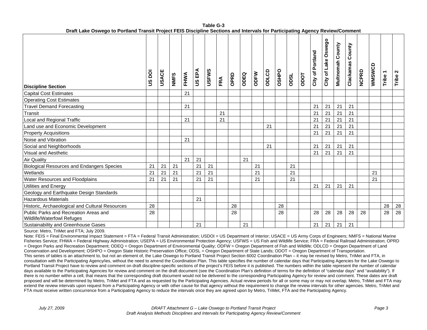| $\blacksquare$                                                      |                |              |      |      |        |              |     |      |      |      |       |              |             |             |                  |                     |                  |                     |              |        |                                   |                 |
|---------------------------------------------------------------------|----------------|--------------|------|------|--------|--------------|-----|------|------|------|-------|--------------|-------------|-------------|------------------|---------------------|------------------|---------------------|--------------|--------|-----------------------------------|-----------------|
| <b>Discipline Section</b>                                           | ā<br><u>ဖွ</u> | <b>USACE</b> | NMFS | FHWA | US EPA | <b>USFWS</b> | FRA | OPRD | ODEQ | ODFW | ODLCD | <b>OSHPO</b> | <b>TSIO</b> | <b>Todo</b> | City of Portland | City of Lake Oswego | Multnomah County | County<br>Clackamas | <b>NCPRD</b> | WMSWCD | $\overline{\phantom{0}}$<br>Tribe | $\sim$<br>Tribe |
| <b>Capital Cost Estimates</b>                                       |                |              |      | 21   |        |              |     |      |      |      |       |              |             |             |                  |                     |                  |                     |              |        |                                   |                 |
| <b>Operating Cost Estimates</b>                                     |                |              |      |      |        |              |     |      |      |      |       |              |             |             |                  |                     |                  |                     |              |        |                                   |                 |
| <b>Travel Demand Forecasting</b>                                    |                |              |      | 21   |        |              |     |      |      |      |       |              |             |             | 21               | 21                  | 21               | 21                  |              |        |                                   |                 |
| Transit                                                             |                |              |      |      |        |              | 21  |      |      |      |       |              |             |             | 21               | 21                  | 21               | 21                  |              |        |                                   |                 |
| Local and Regional Traffic                                          |                |              |      | 21   |        |              | 21  |      |      |      |       |              |             |             | 21               | 21                  | 21               | 21                  |              |        |                                   |                 |
| Land use and Economic Development                                   |                |              |      |      |        |              |     |      |      |      | 21    |              |             |             | 21               | 21                  | 21               | 21                  |              |        |                                   |                 |
| <b>Property Acquisitions</b>                                        |                |              |      |      |        |              |     |      |      |      |       |              |             |             | 21               | 21                  | 21               | 21                  |              |        |                                   |                 |
| Noise and Vibration                                                 |                |              |      | 21   |        |              |     |      |      |      |       |              |             |             |                  |                     |                  |                     |              |        |                                   |                 |
| Social and Neighborhoods                                            |                |              |      |      |        |              |     |      |      |      | 21    |              |             |             | 21               | 21                  | 21               | 21                  |              |        |                                   |                 |
| Visual and Aesthetic                                                |                |              |      |      |        |              |     |      |      |      |       |              |             |             | 21               | 21                  | 21               | 21                  |              |        |                                   |                 |
| <b>Air Quality</b>                                                  |                |              |      | 21   | 21     |              |     |      | 21   |      |       |              |             |             |                  |                     |                  |                     |              |        |                                   |                 |
| <b>Biological Resources and Endangers Species</b>                   | 21             | 21           | 21   |      | 21     | 21           |     |      |      | 21   |       |              | 21          |             |                  |                     |                  |                     |              |        |                                   |                 |
| Wetlands                                                            | 21             | 21           | 21   |      | 21     | 21           |     |      |      | 21   |       |              | 21          |             |                  |                     |                  |                     |              | 21     |                                   |                 |
| <b>Water Resources and Floodplains</b>                              | 21             | 21           | 21   |      | 21     | 21           |     |      |      | 21   |       |              | 21          |             |                  |                     |                  |                     |              | 21     |                                   |                 |
| Utilities and Energy                                                |                |              |      |      |        |              |     |      |      |      |       |              |             |             | 21               | 21                  | 21               | 21                  |              |        |                                   |                 |
| Geology and Earthquake Design Standards                             |                |              |      |      |        |              |     |      |      |      |       |              |             |             |                  |                     |                  |                     |              |        |                                   |                 |
| <b>Hazardous Materials</b>                                          |                |              |      |      | 21     |              |     |      |      |      |       |              |             |             |                  |                     |                  |                     |              |        |                                   |                 |
| Historic, Archaeological and Cultural Resources                     | 28             |              |      |      |        |              |     | 28   |      |      |       | 28           |             |             |                  |                     |                  |                     |              |        | 28                                | 28              |
| Public Parks and Recreation Areas and<br>Wildlife/Waterfowl Refuges | 28             |              |      |      |        |              |     | 28   |      |      |       | 28           |             |             | 28               | 28                  | 28               | 28                  | 28           |        | 28                                | 28              |
| Sustainability and Greenhouse Gases                                 |                |              |      |      | 21     |              |     |      | 21   |      |       |              |             |             | 21               | 21                  | 21               | 21                  |              |        |                                   |                 |

**Table G-3Draft Lake Oswego to Portland Transit Project FEIS Discipline Sections and Intervals for Participating Agency Review/Comment** 

Source: Metro, TriMet and FTA; July 2009.

Note: FEIS = Final Environmental Impact Statement = FTA = Federal Transit Administration: USDOI = US Department of Interior: USACE = US Army Corps of Engineers: NMFS = National Marine Fisheries Service; FHWA = Federal Highway Administration; USEPA = US Environmental Protection Agency; USFWS = US Fish and Wildlife Service; FRA = Federal Railroad Administration; OPRD = Oregon Parks and Recreation Department; ODEQ = Oregon Department of Environmental Quality; ODFW = Oregon Department of Fish and Wildlife; ODLCD = Oregon Department of Land Conservation and Development; OSHPO = Oregon State Historic Preservation Office; ODSL = Oregon Department of State Lands; ODOT = Oregon Department of Transportation. This series of tables is an attachment to, but not an element of, the Lake Oswego to Portland Transit Project Section 6002 Coordination Plan – it may be revised by Metro, TriMet and FTA, in consultation with the Participating Agency/ies, without the need to amend the Coordination Plan. This table specifies the number of calendar days that Participating Agencies for the Lake Oswego to Portland Transit Project have to review and comment on draft discipline-specific sections of the project's FEIS before it is published. The numbers within the table represent the number of calendar days available to the Participating Agencies for review and comment on the draft document (see the Coordination Plan's definition of terms for the definition of "calendar days" and "availability"). If there is no number within a cell, that means that the corresponding draft document would not be delivered to the corresponding Participating Agency for review and comment. These dates are draft proposed and will be determined by Metro, TriMet and FTA and as requested by the Participating Agencies. Actual review periods for all or some may or may not overlap. Metro, TriMet and FTA may extend the review intervals upon request from a Participating Agency or with other cause for that agency without the requirement to change the review intervals for other agencies. Metro, TriMet and FTA must receive written concurrence from a Participating Agency to reduce the intervals once they are agreed upon by Metro, TriMet, FTA and the Participating Agency.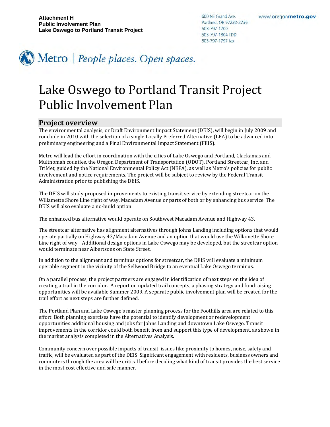600 NE Grand Ave. Portland, OR 97232-2736 503-797-1700 503-797-1804 TDD 503-797-1797 fax



# Lake Oswego to Portland Transit Project Public Involvement Plan

#### **Project overview**

The environmental analysis, or Draft Environment Impact Statement (DEIS), will begin in July 2009 and conclude in 2010 with the selection of a single Locally Preferred Alternative (LPA) to be advanced into preliminary engineering and a Final Environmental Impact Statement (FEIS).

Metro will lead the effort in coordination with the cities of Lake Oswego and Portland, Clackamas and Multnomah counties, the Oregon Department of Transportation (ODOT), Portland Streetcar, Inc. and TriMet, guided by the National Environmental Policy Act (NEPA), as well as Metro's policies for public involvement and notice requirements. The project will be subject to review by the Federal Transit Administration prior to publishing the DEIS.

The DEIS will study proposed improvements to existing transit service by extending streetcar on the Willamette Shore Line right of way, Macadam Avenue or parts of both or by enhancing bus service. The DEIS will also evaluate a no‐build option.

The enhanced bus alternative would operate on Southwest Macadam Avenue and Highway 43.

The streetcar alternative has alignment alternatives through Johns Landing including options that would operate partially on Highway 43/Macadam Avenue and an option that would use the Willamette Shore Line right of way. Additional design options in Lake Oswego may be developed, but the streetcar option would terminate near Albertsons on State Street.

In addition to the alignment and terminus options for streetcar, the DEIS will evaluate a minimum operable segment in the vicinity of the Sellwood Bridge to an eventual Lake Oswego terminus.

On a parallel process, the project partners are engaged in identification of next steps on the idea of creating a trail in the corridor. A report on updated trail concepts, a phasing strategy and fundraising opportunities will be available Summer 2009. A separate public involvement plan will be created for the trail effort as next steps are further defined.

The Portland Plan and Lake Oswego's master planning process for the Foothills area are related to this effort. Both planning exercises have the potential to identify development or redevelopment opportunities additional housing and jobs for Johns Landing and downtown Lake Oswego. Transit improvements in the corridor could both benefit from and support this type of development, as shown in the market analysis completed in the Alternatives Analysis.

Community concern over possible impacts of transit, issues like proximity to homes, noise, safety and traffic, will be evaluated as part of the DEIS. Significant engagement with residents, business owners and commuters through the area will be critical before deciding what kind of transit provides the best service in the most cost effective and safe manner.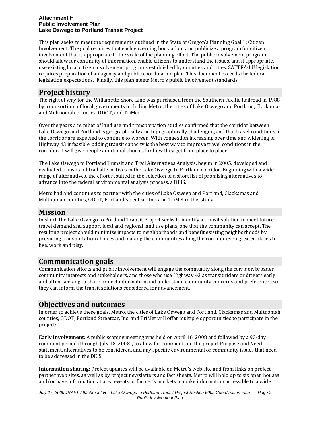This plan seeks to meet the requirements outlined in the State of Oregon's Planning Goal 1: Citizen Involvement. The goal requires that each governing body adopt and publicize a program for citizen involvement that is appropriate to the scale of the planning effort. The public involvement program should allow for continuity of information, enable citizens to understand the issues, and if appropriate, use existing local citizen involvement programs established by counties and cities. SAFTEA‐LU legislation requires preparation of an agency and public coordination plan. This document exceeds the federal legislation expectations. Finally, this plan meets Metro's public involvement standards.

## **Project history**

The right of way for the Willamette Shore Line was purchased from the Southern Pacific Railroad in 1988 by a consortium of local governments including Metro, the cities of Lake Oswego and Portland, Clackamas and Multnomah counties, ODOT, and TriMet.

Over the years a number of land use and transportation studies confirmed that the corridor between Lake Oswego and Portland is geographically and topographically challenging and that travel conditions in the corridor are expected to continue to worsen. With congestion increasing over time and widening of Highway 43 infeasible, adding transit capacity is the best way to improve travel conditions in the corridor. It will give people additional choices for how they get from place to place.

The Lake Oswego to Portland Transit and Trail Alternatives Analysis, begun in 2005, developed and evaluated transit and trail alternatives in the Lake Oswego to Portland corridor. Beginning with a wide range of alternatives, the effort resulted in the selection of a short list of promising alternatives to advance into the federal environmental analysis process, a DEIS.

Metro had and continues to partner with the cities of Lake Oswego and Portland, Clackamas and Multnomah counties, ODOT, Portland Streetcar, Inc. and TriMet in this study.

#### **Mission**

In short, the Lake Oswego to Portland Transit Project seeks to identify a transit solution to meet future travel demand and support local and regional land use plans, one that the community can accept. The resulting project should minimize impacts to neighborhoods and benefit existing neighborhoods by providing transportation choices and making the communities along the corridor even greater places to live, work and play.

## **Communication goals**

Communication efforts and public involvement will engage the community along the corridor, broader community interests and stakeholders, and those who use Highway 43 as transit riders or drivers early and often, seeking to share project information and understand community concerns and preferences so they can inform the transit solutions considered for advancement.

## **Objectives and outcomes**

In order to achieve these goals, Metro, the cities of Lake Oswego and Portland, Clackamas and Multnomah counties, ODOT, Portland Streetcar, Inc. and TriMet will offer multiple opportunities to participate in the project:

**Early involvement**: A public scoping meeting was held on April 16, 2008 and followed by a 93‐day comment period (through July 18, 2008), to allow for comments on the project Purpose and Need statement, alternatives to be considered, and any specific environmental or community issues that need to be addressed in the DEIS.

**Information sharing**: Project updates will be available on Metro's web site and from links on project partner web sites, as well as by project newsletters and fact sheets. Metro will hold up to six open houses and/or have information at area events or farmer's markets to make information accessible to a wide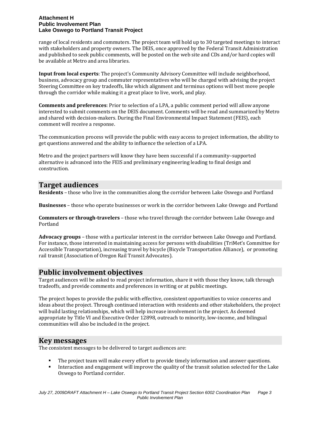range of local residents and commuters. The project team will hold up to 30 targeted meetings to interact with stakeholders and property owners. The DEIS, once approved by the Federal Transit Administration and published to seek public comments, will be posted on the web site and CDs and/or hard copies will be available at Metro and area libraries.

**Input from local experts**: The project's Community Advisory Committee will include neighborhood, business, advocacy group and commuter representatives who will be charged with advising the project Steering Committee on key tradeoffs, like which alignment and terminus options will best move people through the corridor while making it a great place to live, work, and play.

**Comments and preferences**: Prior to selection of a LPA, a public comment period will allow anyone interested to submit comments on the DEIS document. Comments will be read and summarized by Metro and shared with decision-makers. During the Final Environmental Impact Statement (FEIS), each comment will receive a response.

The communication process will provide the public with easy access to project information, the ability to get questions answered and the ability to influence the selection of a LPA.

Metro and the project partners will know they have been successful if a community–supported alternative is advanced into the FEIS and preliminary engineering leading to final design and construction.

### **Target audiences**

**Residents** – those who live in the communities along the corridor between Lake Oswego and Portland

**Businesses** – those who operate businesses or work in the corridor between Lake Oswego and Portland

**Commuters or throughtravelers** – those who travel through the corridor between Lake Oswego and Portland

**Advocacy groups** – those with a particular interest in the corridor between Lake Oswego and Portland. For instance, those interested in maintaining access for persons with disabilities (TriMet's Committee for Accessible Transportation), increasing travel by bicycle (Bicycle Transportation Alliance), or promoting rail transit (Association of Oregon Rail Transit Advocates).

### **Public involvement objectives**

Target audiences will be asked to read project information, share it with those they know, talk through tradeoffs, and provide comments and preferences in writing or at public meetings.

The project hopes to provide the public with effective, consistent opportunities to voice concerns and ideas about the project. Through continued interaction with residents and other stakeholders, the project will build lasting relationships, which will help increase involvement in the project. As deemed appropriate by Title VI and Executive Order 12898, outreach to minority, low‐income, and bilingual communities will also be included in the project.

### **Key messages**

The consistent messages to be delivered to target audiences are:

- The project team will make every effort to provide timely information and answer questions.
- Interaction and engagement will improve the quality of the transit solution selected for the Lake Oswego to Portland corridor.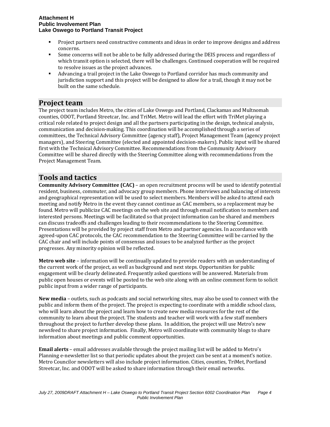- Project partners need constructive comments and ideas in order to improve designs and address concerns.
- Some concerns will not be able to be fully addressed during the DEIS process and regardless of which transit option is selected, there will be challenges. Continued cooperation will be required to resolve issues as the project advances.
- Advancing a trail project in the Lake Oswego to Portland corridor has much community and jurisdiction support and this project will be designed to allow for a trail, though it may not be built on the same schedule.

### **Project team**

The project team includes Metro, the cities of Lake Oswego and Portland, Clackamas and Multnomah counties, ODOT, Portland Streetcar, Inc. and TriMet. Metro will lead the effort with TriMet playing a critical role related to project design and all the partners participating in the design, technical analysis, communication and decision‐making. This coordination will be accomplished through a series of committees, the Technical Advisory Committee (agency staff), Project Management Team (agency project managers), and Steering Committee (elected and appointed decision-makers). Public input will be shared first with the Technical Advisory Committee. Recommendations from the Community Advisory Committee will be shared directly with the Steering Committee along with recommendations from the Project Management Team.

# **Tools and tactics**

**Community Advisory Committee (CAC)** – an open recruitment process will be used to identify potential resident, business, commuter, and advocacy group members. Phone interviews and balancing of interests and geographical representation will be used to select members. Members will be asked to attend each meeting and notify Metro in the event they cannot continue as CAC members, so a replacement may be found. Metro will publicize CAC meetings on the web site and through email notification to members and interested persons. Meetings will be facilitated so that project information can be shared and members can discuss tradeoffs and challenges leading to their recommendations to the Steering Committee. Presentations will be provided by project staff from Metro and partner agencies. In accordance with agreed‐upon CAC protocols, the CAC recommendation to the Steering Committee will be carried by the CAC chair and will include points of consensus and issues to be analyzed further as the project progresses. Any minority opinion will be reflected.

**Metro web site** – information will be continually updated to provide readers with an understanding of the current work of the project, as well as background and next steps. Opportunities for public engagement will be clearly delineated. Frequently asked questions will be answered. Materials from public open houses or events will be posted to the web site along with an online comment form to solicit public input from a wider range of participants.

**New media** – outlets, such as podcasts and social networking sites, may also be used to connect with the public and inform them of the project. The project is expecting to coordinate with a middle school class, who will learn about the project and learn how to create new media resources for the rest of the community to learn about the project. The students and teacher will work with a few staff members throughout the project to further develop these plans. In addition, the project will use Metro's new newsfeed to share project information. Finally, Metro will coordinate with community blogs to share information about meetings and public comment opportunities.

**Email alerts** – email addresses available through the project mailing list will be added to Metro's Planning e‐newsletter list so that periodic updates about the project can be sent at a moment's notice. Metro Councilor newsletters will also include project information. Cities, counties, TriMet, Portland Streetcar, Inc. and ODOT will be asked to share information through their email networks.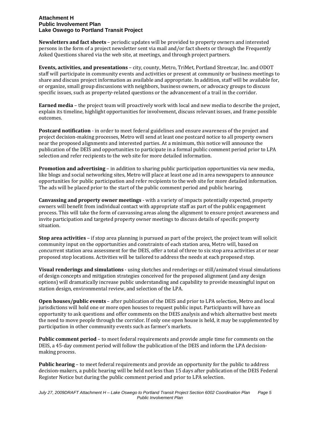**Newsletters and fact sheets** – periodic updates will be provided to property owners and interested persons in the form of a project newsletter sent via mail and/or fact sheets or through the Frequently Asked Questions shared via the web site, at meetings, and through project partners.

**Events, activities, and presentations** – city, county, Metro, TriMet, Portland Streetcar, Inc. and ODOT staff will participate in community events and activities or present at community or business meetings to share and discuss project information as available and appropriate. In addition, staff will be available for, or organize, small group discussions with neighbors, business owners, or advocacy groups to discuss specific issues, such as property-related questions or the advancement of a trail in the corridor.

**Earned media** – the project team will proactively work with local and new media to describe the project, explain its timeline, highlight opportunities for involvement, discuss relevant issues, and frame possible outcomes.

**Postcard notification** ‐ in order to meet federal guidelines and ensure awareness of the project and project decision‐making processes, Metro will send at least one postcard notice to all property owners near the proposed alignments and interested parties. At a minimum, this notice will announce the publication of the DEIS and opportunities to participate in a formal public comment period prior to LPA selection and refer recipients to the web site for more detailed information.

**Promotion and advertising** – in addition to sharing public participation opportunities via new media, like blogs and social networking sites, Metro will place at least one ad in area newspapers to announce opportunities for public participation and refer recipients to the web site for more detailed information. The ads will be placed prior to the start of the public comment period and public hearing.

**Canvassing and property owner meetings** ‐ with a variety of impacts potentially expected, property owners will benefit from individual contact with appropriate staff as part of the public engagement process. This will take the form of canvassing areas along the alignment to ensure project awareness and invite participation and targeted property owner meetings to discuss details of specific property situation.

**Stop area activities** – if stop area planning is pursued as part of the project, the project team will solicit community input on the opportunities and constraints of each station area, Metro will, based on concurrent station area assessment for the DEIS, offer a total of three to six stop area activities at or near proposed stop locations. Activities will be tailored to address the needs at each proposed stop.

**Visual renderings and simulations** ‐ using sketches and renderings or still/animated visual simulations of design concepts and mitigation strategies conceived for the proposed alignment (and any design options) will dramatically increase public understanding and capability to provide meaningful input on station design, environmental review, and selection of the LPA.

**Open houses/public events** – after publication of the DEIS and prior to LPA selection, Metro and local jurisdictions will hold one or more open houses to request public input. Participants will have an opportunity to ask questions and offer comments on the DEIS analysis and which alternative best meets the need to move people through the corridor. If only one open house is held, it may be supplemented by participation in other community events such as farmer's markets.

**Public comment period** – to meet federal requirements and provide ample time for comments on the DEIS, a 45-day comment period will follow the publication of the DEIS and inform the LPA decisionmaking process.

**Public hearing** – to meet federal requirements and provide an opportunity for the public to address decision-makers, a public hearing will be held not less than 15 days after publication of the DEIS Federal Register Notice but during the public comment period and prior to LPA selection.